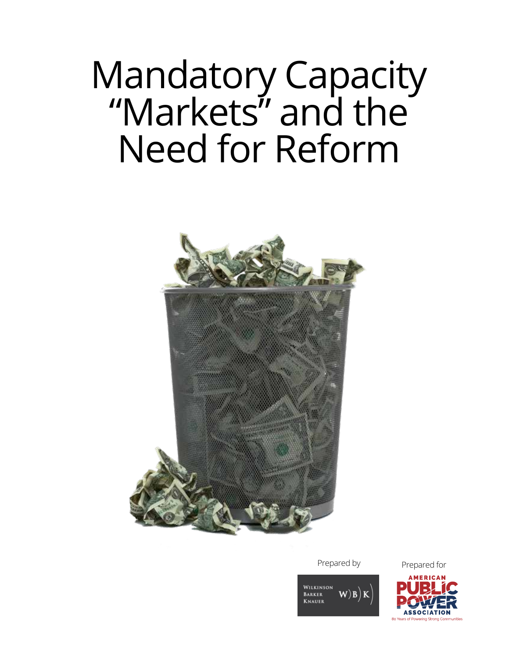# Mandatory Capacity "Markets" and the Need for Reform



Prepared by Prepared for

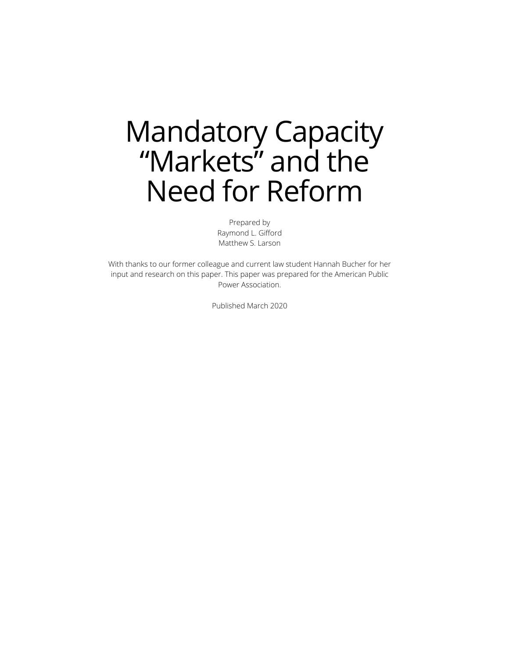## Mandatory Capacity "Markets" and the Need for Reform

Prepared by Raymond L. Gifford Matthew S. Larson

With thanks to our former colleague and current law student Hannah Bucher for her input and research on this paper. This paper was prepared for the American Public Power Association.

Published March 2020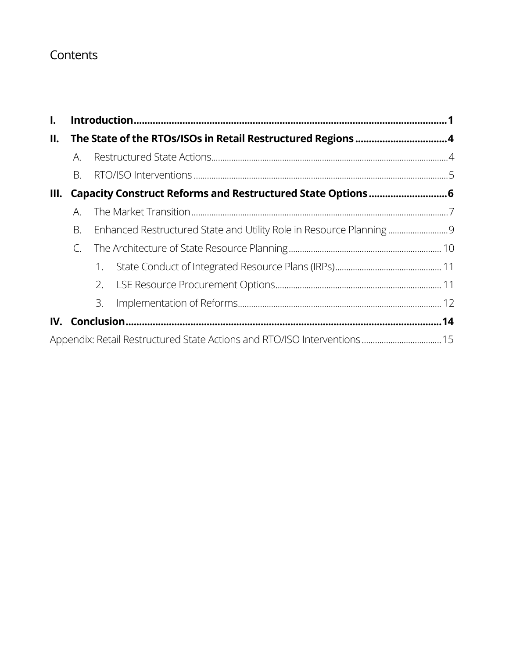## **Contents**

| $\mathbf{I}$ . |                                                             |    |  |  |
|----------------|-------------------------------------------------------------|----|--|--|
| II.            |                                                             |    |  |  |
|                | А.                                                          |    |  |  |
|                | Β.                                                          |    |  |  |
| III.           | Capacity Construct Reforms and Restructured State Options 6 |    |  |  |
|                | A.                                                          |    |  |  |
| В.             |                                                             |    |  |  |
|                | C.                                                          |    |  |  |
|                |                                                             | 1. |  |  |
|                |                                                             | 2. |  |  |
|                |                                                             | 3. |  |  |
| IV.            |                                                             |    |  |  |
|                |                                                             |    |  |  |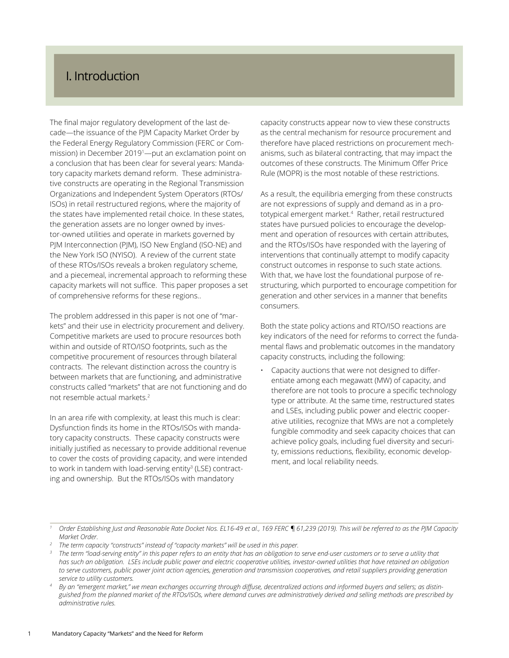## <span id="page-3-0"></span>I. Introduction

The final major regulatory development of the last decade—the issuance of the PJM Capacity Market Order by the Federal Energy Regulatory Commission (FERC or Commission) in December 20191 —put an exclamation point on a conclusion that has been clear for several years: Mandatory capacity markets demand reform. These administrative constructs are operating in the Regional Transmission Organizations and Independent System Operators (RTOs/ ISOs) in retail restructured regions, where the majority of the states have implemented retail choice. In these states, the generation assets are no longer owned by investor-owned utilities and operate in markets governed by PJM Interconnection (PJM), ISO New England (ISO-NE) and the New York ISO (NYISO). A review of the current state of these RTOs/ISOs reveals a broken regulatory scheme, and a piecemeal, incremental approach to reforming these capacity markets will not suffice. This paper proposes a set of comprehensive reforms for these regions..

The problem addressed in this paper is not one of "markets" and their use in electricity procurement and delivery. Competitive markets are used to procure resources both within and outside of RTO/ISO footprints, such as the competitive procurement of resources through bilateral contracts. The relevant distinction across the country is between markets that are functioning, and administrative constructs called "markets" that are not functioning and do not resemble actual markets.<sup>2</sup>

In an area rife with complexity, at least this much is clear: Dysfunction finds its home in the RTOs/ISOs with mandatory capacity constructs. These capacity constructs were initially justified as necessary to provide additional revenue to cover the costs of providing capacity, and were intended to work in tandem with load-serving entity<sup>3</sup> (LSE) contracting and ownership. But the RTOs/ISOs with mandatory

capacity constructs appear now to view these constructs as the central mechanism for resource procurement and therefore have placed restrictions on procurement mechanisms, such as bilateral contracting, that may impact the outcomes of these constructs. The Minimum Offer Price Rule (MOPR) is the most notable of these restrictions.

As a result, the equilibria emerging from these constructs are not expressions of supply and demand as in a prototypical emergent market.4 Rather, retail restructured states have pursued policies to encourage the development and operation of resources with certain attributes, and the RTOs/ISOs have responded with the layering of interventions that continually attempt to modify capacity construct outcomes in response to such state actions. With that, we have lost the foundational purpose of restructuring, which purported to encourage competition for generation and other services in a manner that benefits consumers.

Both the state policy actions and RTO/ISO reactions are key indicators of the need for reforms to correct the fundamental flaws and problematic outcomes in the mandatory capacity constructs, including the following:

• Capacity auctions that were not designed to differentiate among each megawatt (MW) of capacity, and therefore are not tools to procure a specific technology type or attribute. At the same time, restructured states and LSEs, including public power and electric cooperative utilities, recognize that MWs are not a completely fungible commodity and seek capacity choices that can achieve policy goals, including fuel diversity and security, emissions reductions, flexibility, economic development, and local reliability needs.

*<sup>1</sup> Order Establishing Just and Reasonable Rate Docket Nos. EL16-49 et al., 169 FERC ¶ 61,239 (2019). This will be referred to as the PJM Capacity Market Order.*

*<sup>2</sup> The term capacity "constructs" instead of "capacity markets" will be used in this paper.*

<sup>&</sup>lt;sup>3</sup> The term "load-serving entity" in this paper refers to an entity that has an obligation to serve end-user customers or to serve a utility that *has such an obligation. LSEs include public power and electric cooperative utilities, investor-owned utilities that have retained an obligation*  to serve customers, public power joint action agencies, generation and transmission cooperatives, and retail suppliers providing generation *service to utility customers.*

*<sup>4</sup> By an "emergent market," we mean exchanges occurring through diffuse, decentralized actions and informed buyers and sellers; as distinguished from the planned market of the RTOs/ISOs, where demand curves are administratively derived and selling methods are prescribed by administrative rules.*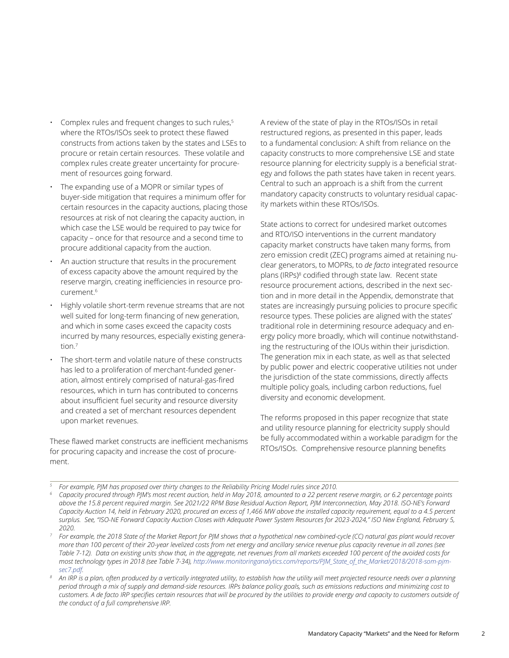- Complex rules and frequent changes to such rules,<sup>5</sup> where the RTOs/ISOs seek to protect these flawed constructs from actions taken by the states and LSEs to procure or retain certain resources. These volatile and complex rules create greater uncertainty for procurement of resources going forward.
- The expanding use of a MOPR or similar types of buyer-side mitigation that requires a minimum offer for certain resources in the capacity auctions, placing those resources at risk of not clearing the capacity auction, in which case the LSE would be required to pay twice for capacity – once for that resource and a second time to procure additional capacity from the auction.
- An auction structure that results in the procurement of excess capacity above the amount required by the reserve margin, creating inefficiencies in resource procurement.6
- Highly volatile short-term revenue streams that are not well suited for long-term financing of new generation, and which in some cases exceed the capacity costs incurred by many resources, especially existing generation.7
- The short-term and volatile nature of these constructs has led to a proliferation of merchant-funded generation, almost entirely comprised of natural-gas-fired resources, which in turn has contributed to concerns about insufficient fuel security and resource diversity and created a set of merchant resources dependent upon market revenues.

These flawed market constructs are inefficient mechanisms for procuring capacity and increase the cost of procurement.

A review of the state of play in the RTOs/ISOs in retail restructured regions, as presented in this paper, leads to a fundamental conclusion: A shift from reliance on the capacity constructs to more comprehensive LSE and state resource planning for electricity supply is a beneficial strategy and follows the path states have taken in recent years. Central to such an approach is a shift from the current mandatory capacity constructs to voluntary residual capacity markets within these RTOs/ISOs.

State actions to correct for undesired market outcomes and RTO/ISO interventions in the current mandatory capacity market constructs have taken many forms, from zero emission credit (ZEC) programs aimed at retaining nuclear generators, to MOPRs, to *de facto* integrated resource plans (IRPs)<sup>8</sup> codified through state law. Recent state resource procurement actions, described in the next section and in more detail in the Appendix, demonstrate that states are increasingly pursuing policies to procure specific resource types. These policies are aligned with the states' traditional role in determining resource adequacy and energy policy more broadly, which will continue notwithstanding the restructuring of the IOUs within their jurisdiction. The generation mix in each state, as well as that selected by public power and electric cooperative utilities not under the jurisdiction of the state commissions, directly affects multiple policy goals, including carbon reductions, fuel diversity and economic development.

The reforms proposed in this paper recognize that state and utility resource planning for electricity supply should be fully accommodated within a workable paradigm for the RTOs/ISOs. Comprehensive resource planning benefits

*<sup>5</sup> For example, PJM has proposed over thirty changes to the Reliability Pricing Model rules since 2010.*

*<sup>6</sup> Capacity procured through PJM's most recent auction, held in May 2018, amounted to a 22 percent reserve margin, or 6.2 percentage points above the 15.8 percent required margin. See 2021/22 RPM Base Residual Auction Report, PJM Interconnection, May 2018. ISO-NE's Forward Capacity Auction 14, held in February 2020, procured an excess of 1,466 MW above the installed capacity requirement, equal to a 4.5 percent surplus. See, "ISO-NE Forward Capacity Auction Closes with Adequate Power System Resources for 2023-2024," ISO New England, February 5, 2020.*

*<sup>7</sup> For example, the 2018 State of the Market Report for PJM shows that a hypothetical new combined-cycle (CC) natural gas plant would recover more than 100 percent of their 20-year levelized costs from net energy and ancillary service revenue plus capacity revenue in all zones (see Table 7-12). Data on existing units show that, in the aggregate, net revenues from all markets exceeded 100 percent of the avoided costs for most technology types in 2018 (see Table 7-34), [http://www.monitoringanalytics.com/reports/PJM\\_State\\_of\\_the\\_Market/2018/2018-som-pjm](http://www.monitoringanalytics.com/reports/PJM_State_of_the_Market/2018/2018-som-pjm-sec7.pdf)[sec7.pdf.](http://www.monitoringanalytics.com/reports/PJM_State_of_the_Market/2018/2018-som-pjm-sec7.pdf) 8 An IRP is a plan, often produced by a vertically integrated utility, to establish how the utility will meet projected resource needs over a planning* 

*period through a mix of supply and demand-side resources. IRPs balance policy goals, such as emissions reductions and minimizing cost to customers. A de facto IRP specifies certain resources that will be procured by the utilities to provide energy and capacity to customers outside of the conduct of a full comprehensive IRP.*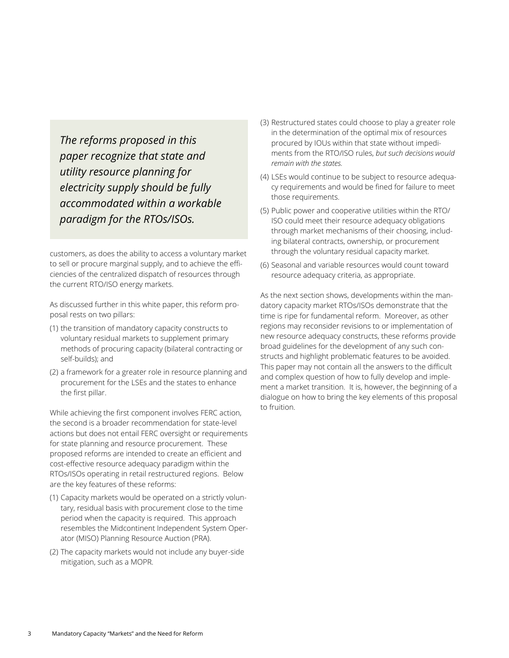*The reforms proposed in this paper recognize that state and utility resource planning for electricity supply should be fully accommodated within a workable paradigm for the RTOs/ISOs.* 

customers, as does the ability to access a voluntary market to sell or procure marginal supply, and to achieve the efficiencies of the centralized dispatch of resources through the current RTO/ISO energy markets.

As discussed further in this white paper, this reform proposal rests on two pillars:

- (1) the transition of mandatory capacity constructs to voluntary residual markets to supplement primary methods of procuring capacity (bilateral contracting or self-builds); and
- (2) a framework for a greater role in resource planning and procurement for the LSEs and the states to enhance the first pillar.

While achieving the first component involves FERC action, the second is a broader recommendation for state-level actions but does not entail FERC oversight or requirements for state planning and resource procurement. These proposed reforms are intended to create an efficient and cost-effective resource adequacy paradigm within the RTOs/ISOs operating in retail restructured regions. Below are the key features of these reforms:

- (1) Capacity markets would be operated on a strictly voluntary, residual basis with procurement close to the time period when the capacity is required. This approach resembles the Midcontinent Independent System Operator (MISO) Planning Resource Auction (PRA).
- (2) The capacity markets would not include any buyer-side mitigation, such as a MOPR.
- (3) Restructured states could choose to play a greater role in the determination of the optimal mix of resources procured by IOUs within that state without impediments from the RTO/ISO rules, *but such decisions would remain with the states.*
- (4) LSEs would continue to be subject to resource adequacy requirements and would be fined for failure to meet those requirements.
- (5) Public power and cooperative utilities within the RTO/ ISO could meet their resource adequacy obligations through market mechanisms of their choosing, including bilateral contracts, ownership, or procurement through the voluntary residual capacity market.
- (6) Seasonal and variable resources would count toward resource adequacy criteria, as appropriate.

As the next section shows, developments within the mandatory capacity market RTOs/ISOs demonstrate that the time is ripe for fundamental reform. Moreover, as other regions may reconsider revisions to or implementation of new resource adequacy constructs, these reforms provide broad guidelines for the development of any such constructs and highlight problematic features to be avoided. This paper may not contain all the answers to the difficult and complex question of how to fully develop and implement a market transition. It is, however, the beginning of a dialogue on how to bring the key elements of this proposal to fruition.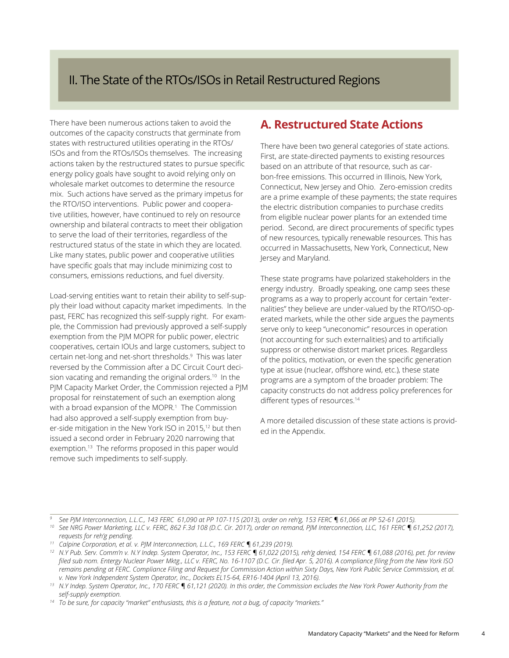## <span id="page-6-0"></span>II. The State of the RTOs/ISOs in Retail Restructured Regions

There have been numerous actions taken to avoid the outcomes of the capacity constructs that germinate from states with restructured utilities operating in the RTOs/ ISOs and from the RTOs/ISOs themselves. The increasing actions taken by the restructured states to pursue specific energy policy goals have sought to avoid relying only on wholesale market outcomes to determine the resource mix. Such actions have served as the primary impetus for the RTO/ISO interventions. Public power and cooperative utilities, however, have continued to rely on resource ownership and bilateral contracts to meet their obligation to serve the load of their territories, regardless of the restructured status of the state in which they are located. Like many states, public power and cooperative utilities have specific goals that may include minimizing cost to consumers, emissions reductions, and fuel diversity.

Load-serving entities want to retain their ability to self-supply their load without capacity market impediments. In the past, FERC has recognized this self-supply right. For example, the Commission had previously approved a self-supply exemption from the PJM MOPR for public power, electric cooperatives, certain IOUs and large customers, subject to certain net-long and net-short thresholds.9 This was later reversed by the Commission after a DC Circuit Court decision vacating and remanding the original orders.<sup>10</sup> In the PJM Capacity Market Order, the Commission rejected a PJM proposal for reinstatement of such an exemption along with a broad expansion of the MOPR.<sup>1</sup> The Commission had also approved a self-supply exemption from buyer-side mitigation in the New York ISO in 2015,12 but then issued a second order in February 2020 narrowing that exemption.<sup>13</sup> The reforms proposed in this paper would remove such impediments to self-supply.

## **A. Restructured State Actions**

There have been two general categories of state actions. First, are state-directed payments to existing resources based on an attribute of that resource, such as carbon-free emissions. This occurred in Illinois, New York, Connecticut, New Jersey and Ohio. Zero-emission credits are a prime example of these payments; the state requires the electric distribution companies to purchase credits from eligible nuclear power plants for an extended time period. Second, are direct procurements of specific types of new resources, typically renewable resources. This has occurred in Massachusetts, New York, Connecticut, New Jersey and Maryland.

These state programs have polarized stakeholders in the energy industry. Broadly speaking, one camp sees these programs as a way to properly account for certain "externalities" they believe are under-valued by the RTO/ISO-operated markets, while the other side argues the payments serve only to keep "uneconomic" resources in operation (not accounting for such externalities) and to artificially suppress or otherwise distort market prices. Regardless of the politics, motivation, or even the specific generation type at issue (nuclear, offshore wind, etc.), these state programs are a symptom of the broader problem: The capacity constructs do not address policy preferences for different types of resources.<sup>14</sup>

A more detailed discussion of these state actions is provided in the Appendix.

<sup>&</sup>lt;sup>9</sup> See PJM Interconnection, L.L.C., 143 FERC 61,090 at PP 107-115 (2013), order on reh'g, 153 FERC ¶ 61,066 at PP 52-61 (2015).<br><sup>10</sup> See NRG Power Marketing, LLC v. FERC, 862 F.3d 108 (D.C. Cir. 2017), order on remand, PJ

*requests for reh'g pending.*

*<sup>11</sup> Calpine Corporation, et al. v. PJM Interconnection, L.L.C., 169 FERC ¶ 61,239 (2019).*

*<sup>12</sup> N.Y Pub. Serv. Comm'n v. N.Y Indep. System Operator, Inc., 153 FERC ¶ 61,022 (2015), reh'g denied, 154 FERC ¶ 61,088 (2016), pet. for review filed sub nom. Entergy Nuclear Power Mktg., LLC v. FERC, No. 16-1107 (D.C. Cir. filed Apr. 5, 2016). A compliance filing from the New York ISO remains pending at FERC. Compliance Filing and Request for Commission Action within Sixty Days, New York Public Service Commission, et al. v. New York Independent System Operator, Inc., Dockets EL15-64, ER16-1404 (April 13, 2016).*

*<sup>13</sup> N.Y Indep. System Operator, Inc., 170 FERC ¶ 61,121 (2020). In this order, the Commission excludes the New York Power Authority from the self-supply exemption.*

*<sup>14</sup> To be sure, for capacity "market" enthusiasts, this is a feature, not a bug, of capacity "markets."*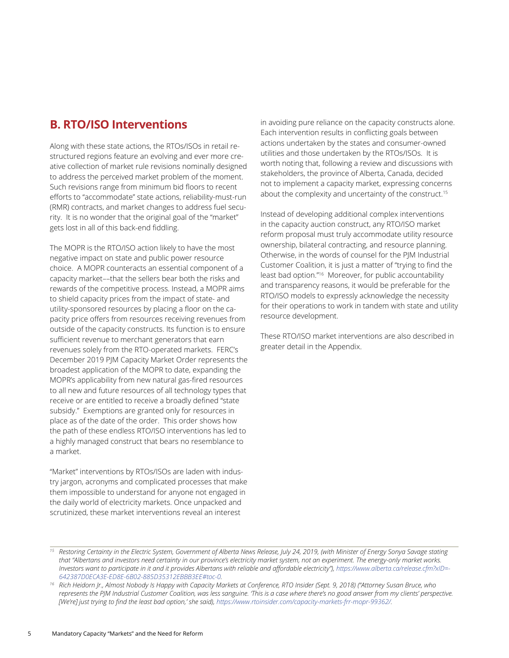## <span id="page-7-0"></span>**B. RTO/ISO Interventions**

Along with these state actions, the RTOs/ISOs in retail restructured regions feature an evolving and ever more creative collection of market rule revisions nominally designed to address the perceived market problem of the moment. Such revisions range from minimum bid floors to recent efforts to "accommodate" state actions, reliability-must-run (RMR) contracts, and market changes to address fuel security. It is no wonder that the original goal of the "market" gets lost in all of this back-end fiddling.

The MOPR is the RTO/ISO action likely to have the most negative impact on state and public power resource choice. A MOPR counteracts an essential component of a capacity market––that the sellers bear both the risks and rewards of the competitive process. Instead, a MOPR aims to shield capacity prices from the impact of state- and utility-sponsored resources by placing a floor on the capacity price offers from resources receiving revenues from outside of the capacity constructs. Its function is to ensure sufficient revenue to merchant generators that earn revenues solely from the RTO-operated markets. FERC's December 2019 PJM Capacity Market Order represents the broadest application of the MOPR to date, expanding the MOPR's applicability from new natural gas-fired resources to all new and future resources of all technology types that receive or are entitled to receive a broadly defined "state subsidy." Exemptions are granted only for resources in place as of the date of the order. This order shows how the path of these endless RTO/ISO interventions has led to a highly managed construct that bears no resemblance to a market.

"Market" interventions by RTOs/ISOs are laden with industry jargon, acronyms and complicated processes that make them impossible to understand for anyone not engaged in the daily world of electricity markets. Once unpacked and scrutinized, these market interventions reveal an interest

in avoiding pure reliance on the capacity constructs alone. Each intervention results in conflicting goals between actions undertaken by the states and consumer-owned utilities and those undertaken by the RTOs/ISOs. It is worth noting that, following a review and discussions with stakeholders, the province of Alberta, Canada, decided not to implement a capacity market, expressing concerns about the complexity and uncertainty of the construct.<sup>15</sup>

Instead of developing additional complex interventions in the capacity auction construct, any RTO/ISO market reform proposal must truly accommodate utility resource ownership, bilateral contracting, and resource planning. Otherwise, in the words of counsel for the PJM Industrial Customer Coalition, it is just a matter of "trying to find the least bad option."16 Moreover, for public accountability and transparency reasons, it would be preferable for the RTO/ISO models to expressly acknowledge the necessity for their operations to work in tandem with state and utility resource development.

These RTO/ISO market interventions are also described in greater detail in the Appendix.

*<sup>15</sup> Restoring Certainty in the Electric System, Government of Alberta News Release, July 24, 2019, (with Minister of Energy Sonya Savage stating that "Albertans and investors need certainty in our province's electricity market system, not an experiment. The energy-only market works. Investors want to participate in it and it provides Albertans with reliable and affordable electricity"), [https://www.alberta.ca/release.cfm?xID=-](https://www.alberta.ca/release.cfm?xID=642387D0ECA3E-ED8E-6B02-885D35312EBBB3EE#toc-0) [642387D0ECA3E-ED8E-6B02-885D35312EBBB3EE#toc-0.](https://www.alberta.ca/release.cfm?xID=642387D0ECA3E-ED8E-6B02-885D35312EBBB3EE#toc-0)*

*<sup>16</sup> Rich Heidorn Jr., Almost Nobody Is Happy with Capacity Markets at Conference, RTO Insider (Sept. 9, 2018) ("Attorney Susan Bruce, who represents the PJM Industrial Customer Coalition, was less sanguine. 'This is a case where there's no good answer from my clients' perspective. [We're] just trying to find the least bad option,' she said), <https://www.rtoinsider.com/capacity-markets-frr-mopr-99362/>.*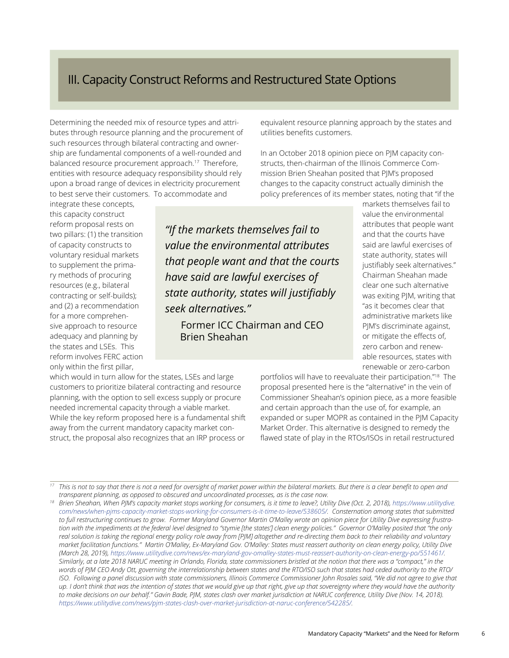## <span id="page-8-0"></span>III. Capacity Construct Reforms and Restructured State Options

Determining the needed mix of resource types and attributes through resource planning and the procurement of such resources through bilateral contracting and ownership are fundamental components of a well-rounded and balanced resource procurement approach.17 Therefore, entities with resource adequacy responsibility should rely upon a broad range of devices in electricity procurement to best serve their customers. To accommodate and

integrate these concepts, this capacity construct reform proposal rests on two pillars: (1) the transition of capacity constructs to voluntary residual markets to supplement the primary methods of procuring resources (e.g., bilateral contracting or self-builds); and (2) a recommendation for a more comprehensive approach to resource adequacy and planning by the states and LSEs. This reform involves FERC action only within the first pillar,

which would in turn allow for the states, LSEs and large customers to prioritize bilateral contracting and resource planning, with the option to sell excess supply or procure needed incremental capacity through a viable market. While the key reform proposed here is a fundamental shift away from the current mandatory capacity market construct, the proposal also recognizes that an IRP process or

equivalent resource planning approach by the states and utilities benefits customers.

In an October 2018 opinion piece on PJM capacity constructs, then-chairman of the Illinois Commerce Commission Brien Sheahan posited that PJM's proposed changes to the capacity construct actually diminish the policy preferences of its member states, noting that "if the

*"If the markets themselves fail to value the environmental attributes that people want and that the courts have said are lawful exercises of state authority, states will justifiably seek alternatives."* 

Former ICC Chairman and CEO Brien Sheahan

markets themselves fail to value the environmental attributes that people want and that the courts have said are lawful exercises of state authority, states will justifiably seek alternatives." Chairman Sheahan made clear one such alternative was exiting PJM, writing that "as it becomes clear that administrative markets like PJM's discriminate against, or mitigate the effects of, zero carbon and renewable resources, states with renewable or zero-carbon

portfolios will have to reevaluate their participation."18 The proposal presented here is the "alternative" in the vein of Commissioner Sheahan's opinion piece, as a more feasible and certain approach than the use of, for example, an expanded or super MOPR as contained in the PJM Capacity Market Order. This alternative is designed to remedy the flawed state of play in the RTOs/ISOs in retail restructured

*<sup>17</sup> This is not to say that there is not a need for oversight of market power within the bilateral markets. But there is a clear benefit to open and transparent planning, as opposed to obscured and uncoordinated processes, as is the case now.*

*<sup>18</sup> Brien Sheahan, When PJM's capacity market stops working for consumers, is it time to leave?, Utility Dive (Oct. 2, 2018), [https://www.utilitydive.](https://www.utilitydive.com/news/when-pjms-capacity-market-stops-working-for-consumers-is-it-time-to-leave/538605/) [com/news/when-pjms-capacity-market-stops-working-for-consumers-is-it-time-to-leave/538605/.](https://www.utilitydive.com/news/when-pjms-capacity-market-stops-working-for-consumers-is-it-time-to-leave/538605/) Consternation among states that submitted to full restructuring continues to grow. Former Maryland Governor Martin O'Malley wrote an opinion piece for Utility Dive expressing frustration with the impediments at the federal level designed to "stymie [the states'] clean energy policies." Governor O'Malley posited that "the only real solution is taking the regional energy policy role away from [PJM] altogether and re-directing them back to their reliability and voluntary market facilitation functions." Martin O'Malley, Ex-Maryland Gov. O'Malley: States must reassert authority on clean energy policy, Utility Dive (March 28, 2019),<https://www.utilitydive.com/news/ex-maryland-gov-omalley-states-must-reassert-authority-on-clean-energy-po/551461/>. Similarly, at a late 2018 NARUC meeting in Orlando, Florida, state commissioners bristled at the notion that there was a "compact," in the words of PJM CEO Andy Ott, governing the interrelationship between states and the RTO/ISO such that states had ceded authority to the RTO/ ISO. Following a panel discussion with state commissioners, Illinois Commerce Commissioner John Rosales said, "We did not agree to give that up. I don't think that was the intention of states that we would give up that right, give up that sovereignty where they would have the authority to make decisions on our behalf." Gavin Bade, PJM, states clash over market jurisdiction at NARUC conference, Utility Dive (Nov. 14, 2018). [https://www.utilitydive.com/news/pjm-states-clash-over-market-jurisdiction-at-naruc-conference/542285/.](https://www.utilitydive.com/news/pjm-states-clash-over-market-jurisdiction-at-naruc-conference/542285/)*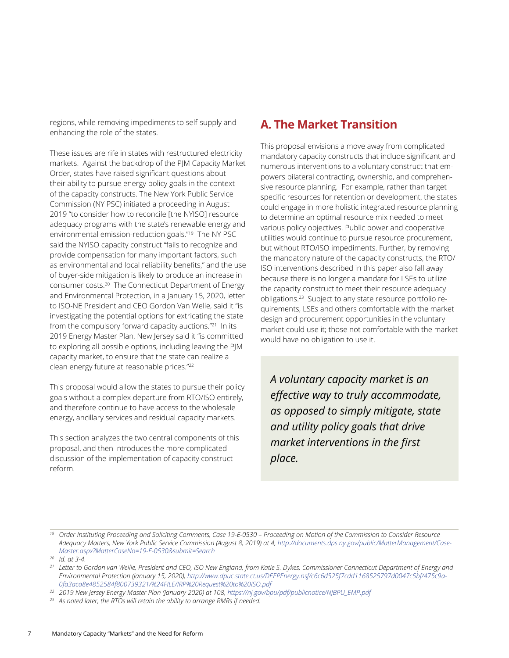<span id="page-9-0"></span>regions, while removing impediments to self-supply and enhancing the role of the states.

These issues are rife in states with restructured electricity markets. Against the backdrop of the PJM Capacity Market Order, states have raised significant questions about their ability to pursue energy policy goals in the context of the capacity constructs. The New York Public Service Commission (NY PSC) initiated a proceeding in August 2019 "to consider how to reconcile [the NYISO] resource adequacy programs with the state's renewable energy and environmental emission-reduction goals."19 The NY PSC said the NYISO capacity construct "fails to recognize and provide compensation for many important factors, such as environmental and local reliability benefits," and the use of buyer-side mitigation is likely to produce an increase in consumer costs.20 The Connecticut Department of Energy and Environmental Protection, in a January 15, 2020, letter to ISO-NE President and CEO Gordon Van Welie, said it "is investigating the potential options for extricating the state from the compulsory forward capacity auctions."21 In its 2019 Energy Master Plan, New Jersey said it "is committed to exploring all possible options, including leaving the PJM capacity market, to ensure that the state can realize a clean energy future at reasonable prices."22

This proposal would allow the states to pursue their policy goals without a complex departure from RTO/ISO entirely, and therefore continue to have access to the wholesale energy, ancillary services and residual capacity markets.

This section analyzes the two central components of this proposal, and then introduces the more complicated discussion of the implementation of capacity construct reform.

## **A. The Market Transition**

This proposal envisions a move away from complicated mandatory capacity constructs that include significant and numerous interventions to a voluntary construct that empowers bilateral contracting, ownership, and comprehensive resource planning. For example, rather than target specific resources for retention or development, the states could engage in more holistic integrated resource planning to determine an optimal resource mix needed to meet various policy objectives. Public power and cooperative utilities would continue to pursue resource procurement, but without RTO/ISO impediments. Further, by removing the mandatory nature of the capacity constructs, the RTO/ ISO interventions described in this paper also fall away because there is no longer a mandate for LSEs to utilize the capacity construct to meet their resource adequacy obligations.23 Subject to any state resource portfolio requirements, LSEs and others comfortable with the market design and procurement opportunities in the voluntary market could use it; those not comfortable with the market would have no obligation to use it.

*A voluntary capacity market is an effective way to truly accommodate, as opposed to simply mitigate, state and utility policy goals that drive market interventions in the first place.* 

*<sup>19</sup> Order Instituting Proceeding and Soliciting Comments, Case 19-E-0530 – Proceeding on Motion of the Commission to Consider Resource Adequacy Matters, New York Public Service Commission (August 8, 2019) at 4, [http://documents.dps.ny.gov/public/MatterManagement/Case-](http://documents.dps.ny.gov/public/MatterManagement/CaseMaster.aspx?MatterCaseNo=19-E-0530&submit=Search)[Master.aspx?MatterCaseNo=19-E-0530&submit=Search](http://documents.dps.ny.gov/public/MatterManagement/CaseMaster.aspx?MatterCaseNo=19-E-0530&submit=Search)*

*<sup>20</sup> Id. at 3-4.*

*<sup>21</sup> Letter to Gordon van Weilie, President and CEO, ISO New England, from Katie S. Dykes, Commissioner Connecticut Department of Energy and Environmental Protection (January 15, 2020), [http://www.dpuc.state.ct.us/DEEPEnergy.nsf/c6c6d525f7cdd1168525797d0047c5bf/475c9a-](http://www.dpuc.state.ct.us/DEEPEnergy.nsf/c6c6d525f7cdd1168525797d0047c5bf/475c9a0fa3aca8e4852584f800739321/%24FILE/IRP%20Request%20to%20ISO.pdf)[0fa3aca8e4852584f800739321/%24FILE/IRP%20Request%20to%20ISO.pdf](http://www.dpuc.state.ct.us/DEEPEnergy.nsf/c6c6d525f7cdd1168525797d0047c5bf/475c9a0fa3aca8e4852584f800739321/%24FILE/IRP%20Request%20to%20ISO.pdf)*

*<sup>22</sup> 2019 New Jersey Energy Master Plan (January 2020) at 108, [https://nj.gov/bpu/pdf/publicnotice/NJBPU\\_EMP.pdf](https://nj.gov/bpu/pdf/publicnotice/NJBPU_EMP.pdf)*

*<sup>23</sup> As noted later, the RTOs will retain the ability to arrange RMRs if needed.*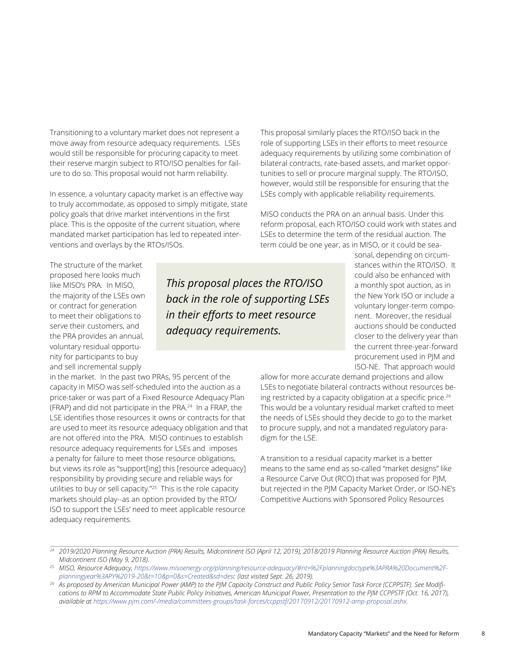Transitioning to a voluntary market does not represent a move away from resource adequacy requirements. LSEs would still be responsible for procuring capacity to meet their reserve margin subject to RTO/ISO penalties for failure to do so. This proposal would not harm reliability.

In essence, a voluntary capacity market is an effective way to truly accommodate, as opposed to simply mitigate, state policy goals that drive market interventions in the first place. This is the opposite of the current situation, where mandated market participation has led to repeated interventions and overlays by the RTOs/ISOs.

This proposal similarly places the RTO/ISO back in the role of supporting LSEs in their efforts to meet resource adequacy requirements by utilizing some combination of bilateral contracts, rate-based assets, and market opportunities to sell or procure marginal supply. The RTO/ISO, however, would still be responsible for ensuring that the LSEs comply with applicable reliability requirements.

MISO conducts the PRA on an annual basis. Under this reform proposal, each RTO/ISO could work with states and LSEs to determine the term of the residual auction. The term could be one year, as in MISO, or it could be sea-

The structure of the market proposed here looks much like MISO's PRA. In MISO, the majority of the LSEs own or contract for generation to meet their obligations to serve their customers, and the PRA provides an annual, voluntary residual opportunity for participants to buy and sell incremental supply

in the market. In the past two PRAs, 95 percent of the capacity in MISO was self-scheduled into the auction as a price-taker or was part of a Fixed Resource Adequacy Plan (FRAP) and did not participate in the PRA.24 In a FRAP, the LSE identifies those resources it owns or contracts for that are used to meet its resource adequacy obligation and that are not offered into the PRA. MISO continues to establish resource adequacy requirements for LSEs and imposes a penalty for failure to meet those resource obligations, but views its role as "support[ing] this [resource adequacy] responsibility by providing secure and reliable ways for utilities to buy or sell capacity."25 This is the role capacity markets should play--as an option provided by the RTO/ ISO to support the LSEs' need to meet applicable resource adequacy requirements.

*This proposal places the RTO/ISO back in the role of supporting LSEs in their efforts to meet resource adequacy requirements.*

sonal, depending on circumstances within the RTO/ISO. It could also be enhanced with a monthly spot auction, as in the New York ISO or include a voluntary longer-term component. Moreover, the residual auctions should be conducted closer to the delivery year than the current three-year-forward procurement used in PJM and ISO-NE. That approach would

allow for more accurate demand projections and allow LSEs to negotiate bilateral contracts without resources being restricted by a capacity obligation at a specific price.<sup>26</sup> This would be a voluntary residual market crafted to meet the needs of LSEs should they decide to go to the market to procure supply, and not a mandated regulatory paradigm for the LSE.

A transition to a residual capacity market is a better means to the same end as so-called "market designs" like a Resource Carve Out (RCO) that was proposed for PJM, but rejected in the PJM Capacity Market Order, or ISO-NE's Competitive Auctions with Sponsored Policy Resources

*<sup>25</sup> MISO, Resource Adequacy, [https://www.misoenergy.org/planning/resource-adequacy/#nt=%2Fplanningdoctype%3APRA%20Document%2F](https://www.misoenergy.org/planning/resource-adequacy/#nt=%2Fplanningdoctype%3APRA%20Document%2Fplanningyear%3APY%2019-20&t=10&p=0&s=Created&sd=desc)*[planningyear%3APY%2019-20&t=10&p=0&s=Created&sd=desc](https://www.misoenergy.org/planning/resource-adequacy/#nt=%2Fplanningdoctype%3APRA%20Document%2Fplanningyear%3APY%2019-20&t=10&p=0&s=Created&sd=desc) (last visited Sept. 26, 2019).<br>As proposed by American Municipal Power (AMP) to the PJM Capacity Construct and Public Policy Senior Task Force (CCPPSTF). See Modifi-

*cations to RPM to Accommodate State Public Policy Initiatives, American Municipal Power, Presentation to the PJM CCPPSTF (Oct. 16, 2017), available at<https://www.pjm.com/-/media/committees-groups/task-forces/ccppstf/20170912/20170912-amp-proposal.ashx>.* 

*<sup>24</sup> 2019/2020 Planning Resource Auction (PRA) Results, Midcontinent ISO (April 12, 2019); 2018/2019 Planning Resource Auction (PRA) Results, Midcontinent ISO (May 9, 2018).*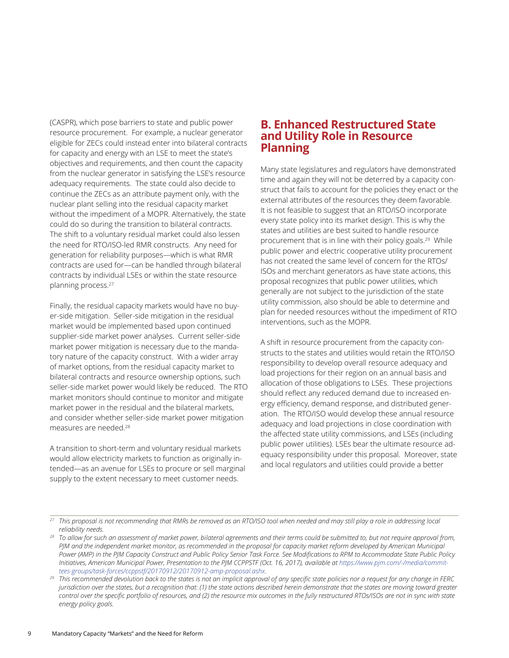<span id="page-11-0"></span>(CASPR), which pose barriers to state and public power resource procurement. For example, a nuclear generator eligible for ZECs could instead enter into bilateral contracts for capacity and energy with an LSE to meet the state's objectives and requirements, and then count the capacity from the nuclear generator in satisfying the LSE's resource adequacy requirements. The state could also decide to continue the ZECs as an attribute payment only, with the nuclear plant selling into the residual capacity market without the impediment of a MOPR. Alternatively, the state could do so during the transition to bilateral contracts. The shift to a voluntary residual market could also lessen the need for RTO/ISO-led RMR constructs. Any need for generation for reliability purposes—which is what RMR contracts are used for—can be handled through bilateral contracts by individual LSEs or within the state resource planning process.27

Finally, the residual capacity markets would have no buyer-side mitigation. Seller-side mitigation in the residual market would be implemented based upon continued supplier-side market power analyses. Current seller-side market power mitigation is necessary due to the mandatory nature of the capacity construct. With a wider array of market options, from the residual capacity market to bilateral contracts and resource ownership options, such seller-side market power would likely be reduced. The RTO market monitors should continue to monitor and mitigate market power in the residual and the bilateral markets, and consider whether seller-side market power mitigation measures are needed.28

A transition to short-term and voluntary residual markets would allow electricity markets to function as originally intended—as an avenue for LSEs to procure or sell marginal supply to the extent necessary to meet customer needs.

#### **B. Enhanced Restructured State and Utility Role in Resource Planning**

Many state legislatures and regulators have demonstrated time and again they will not be deterred by a capacity construct that fails to account for the policies they enact or the external attributes of the resources they deem favorable. It is not feasible to suggest that an RTO/ISO incorporate every state policy into its market design. This is why the states and utilities are best suited to handle resource procurement that is in line with their policy goals.<sup>29</sup> While public power and electric cooperative utility procurement has not created the same level of concern for the RTOs/ ISOs and merchant generators as have state actions, this proposal recognizes that public power utilities, which generally are not subject to the jurisdiction of the state utility commission, also should be able to determine and plan for needed resources without the impediment of RTO interventions, such as the MOPR.

A shift in resource procurement from the capacity constructs to the states and utilities would retain the RTO/ISO responsibility to develop overall resource adequacy and load projections for their region on an annual basis and allocation of those obligations to LSEs. These projections should reflect any reduced demand due to increased energy efficiency, demand response, and distributed generation. The RTO/ISO would develop these annual resource adequacy and load projections in close coordination with the affected state utility commissions, and LSEs (including public power utilities). LSEs bear the ultimate resource adequacy responsibility under this proposal. Moreover, state and local regulators and utilities could provide a better

*<sup>27</sup> This proposal is not recommending that RMRs be removed as an RTO/ISO tool when needed and may still play a role in addressing local reliability needs.*

*<sup>28</sup> To allow for such an assessment of market power, bilateral agreements and their terms could be submitted to, but not require approval from, PJM and the independent market monitor, as recommended in the proposal for capacity market reform developed by American Municipal Power (AMP) in the PJM Capacity Construct and Public Policy Senior Task Force. See Modifications to RPM to Accommodate State Public Policy Initiatives, American Municipal Power, Presentation to the PJM CCPPSTF (Oct. 16, 2017), available at [https://www.pjm.com/-/media/commit](https://www.pjm.com/-/media/committees-groups/task-forces/ccppstf/20170912/20170912-amp-proposal.ashx)*[tees-groups/task-forces/ccppstf/20170912/20170912-amp-proposal.ashx.](https://www.pjm.com/-/media/committees-groups/task-forces/ccppstf/20170912/20170912-amp-proposal.ashx)<br>This recommended devolution back to the states is not an implicit approval of any specific state policies nor a request for any change in FERC

*jurisdiction over the states, but a recognition that: (1) the state actions described herein demonstrate that the states are moving toward greater control over the specific portfolio of resources, and (2) the resource mix outcomes in the fully restructured RTOs/ISOs are not in sync with state energy policy goals.*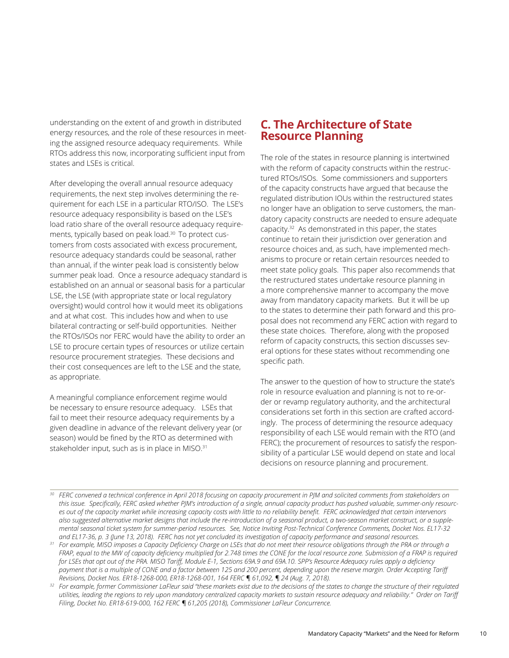<span id="page-12-0"></span>understanding on the extent of and growth in distributed energy resources, and the role of these resources in meeting the assigned resource adequacy requirements. While RTOs address this now, incorporating sufficient input from states and LSEs is critical.

After developing the overall annual resource adequacy requirements, the next step involves determining the requirement for each LSE in a particular RTO/ISO. The LSE's resource adequacy responsibility is based on the LSE's load ratio share of the overall resource adequacy requirements, typically based on peak load.30 To protect customers from costs associated with excess procurement, resource adequacy standards could be seasonal, rather than annual, if the winter peak load is consistently below summer peak load. Once a resource adequacy standard is established on an annual or seasonal basis for a particular LSE, the LSE (with appropriate state or local regulatory oversight) would control how it would meet its obligations and at what cost. This includes how and when to use bilateral contracting or self-build opportunities. Neither the RTOs/ISOs nor FERC would have the ability to order an LSE to procure certain types of resources or utilize certain resource procurement strategies. These decisions and their cost consequences are left to the LSE and the state, as appropriate.

A meaningful compliance enforcement regime would be necessary to ensure resource adequacy. LSEs that fail to meet their resource adequacy requirements by a given deadline in advance of the relevant delivery year (or season) would be fined by the RTO as determined with stakeholder input, such as is in place in MISO.<sup>31</sup>

### **C. The Architecture of State Resource Planning**

The role of the states in resource planning is intertwined with the reform of capacity constructs within the restructured RTOs/ISOs. Some commissioners and supporters of the capacity constructs have argued that because the regulated distribution IOUs within the restructured states no longer have an obligation to serve customers, the mandatory capacity constructs are needed to ensure adequate capacity.32 As demonstrated in this paper, the states continue to retain their jurisdiction over generation and resource choices and, as such, have implemented mechanisms to procure or retain certain resources needed to meet state policy goals. This paper also recommends that the restructured states undertake resource planning in a more comprehensive manner to accompany the move away from mandatory capacity markets. But it will be up to the states to determine their path forward and this proposal does not recommend any FERC action with regard to these state choices. Therefore, along with the proposed reform of capacity constructs, this section discusses several options for these states without recommending one specific path.

The answer to the question of how to structure the state's role in resource evaluation and planning is not to re-order or revamp regulatory authority, and the architectural considerations set forth in this section are crafted accordingly. The process of determining the resource adequacy responsibility of each LSE would remain with the RTO (and FERC); the procurement of resources to satisfy the responsibility of a particular LSE would depend on state and local decisions on resource planning and procurement.

<sup>&</sup>lt;sup>30</sup> FERC convened a technical conference in April 2018 focusing on capacity procurement in PJM and solicited comments from stakeholders on *this issue. Specifically, FERC asked whether PJM's introduction of a single, annual capacity product has pushed valuable, summer-only resources out of the capacity market while increasing capacity costs with little to no reliability benefit. FERC acknowledged that certain intervenors also suggested alternative market designs that include the re-introduction of a seasonal product, a two-season market construct, or a supplemental seasonal ticket system for summer-period resources. See, Notice Inviting Post-Technical Conference Comments, Docket Nos. EL17-32 and EL17-36, p. 3 (June 13, 2018). FERC has not yet concluded its investigation of capacity performance and seasonal resources.*

*<sup>31</sup> For example, MISO imposes a Capacity Deficiency Charge on LSEs that do not meet their resource obligations through the PRA or through a FRAP, equal to the MW of capacity deficiency multiplied for 2.748 times the CONE for the local resource zone. Submission of a FRAP is required for LSEs that opt out of the PRA. MISO Tariff, Module E-1, Sections 69A.9 and 69A.10. SPP's Resource Adequacy rules apply a deficiency*  payment that is a multiple of CONE and a factor between 125 and 200 percent, depending upon the reserve margin. Order Accepting Tariff *Revisions, Docket Nos. ER18-1268-000, ER18-1268-001, 164 FERC ¶ 61,092, ¶ 24 (Aug. 7, 2018).*

*<sup>32</sup> For example, former Commissioner LaFleur said "these markets exist due to the decisions of the states to change the structure of their regulated utilities, leading the regions to rely upon mandatory centralized capacity markets to sustain resource adequacy and reliability." Order on Tariff Filing, Docket No. ER18-619-000, 162 FERC ¶ 61,205 (2018), Commissioner LaFleur Concurrence.*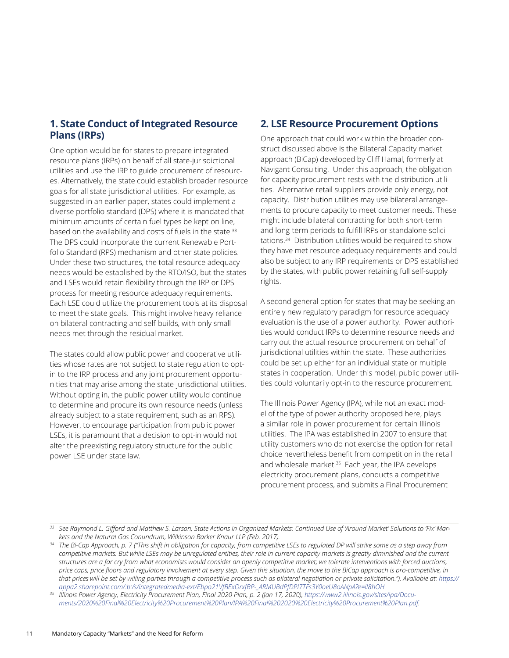#### <span id="page-13-0"></span>**1. State Conduct of Integrated Resource Plans (IRPs)**

One option would be for states to prepare integrated resource plans (IRPs) on behalf of all state-jurisdictional utilities and use the IRP to guide procurement of resources. Alternatively, the state could establish broader resource goals for all state-jurisdictional utilities. For example, as suggested in an earlier paper, states could implement a diverse portfolio standard (DPS) where it is mandated that minimum amounts of certain fuel types be kept on line, based on the availability and costs of fuels in the state.<sup>33</sup> The DPS could incorporate the current Renewable Portfolio Standard (RPS) mechanism and other state policies. Under these two structures, the total resource adequacy needs would be established by the RTO/ISO, but the states and LSEs would retain flexibility through the IRP or DPS process for meeting resource adequacy requirements. Each LSE could utilize the procurement tools at its disposal to meet the state goals. This might involve heavy reliance on bilateral contracting and self-builds, with only small needs met through the residual market.

The states could allow public power and cooperative utilities whose rates are not subject to state regulation to optin to the IRP process and any joint procurement opportunities that may arise among the state-jurisdictional utilities. Without opting in, the public power utility would continue to determine and procure its own resource needs (unless already subject to a state requirement, such as an RPS). However, to encourage participation from public power LSEs, it is paramount that a decision to opt-in would not alter the preexisting regulatory structure for the public power LSE under state law.

#### **2. LSE Resource Procurement Options**

One approach that could work within the broader construct discussed above is the Bilateral Capacity market approach (BiCap) developed by Cliff Hamal, formerly at Navigant Consulting. Under this approach, the obligation for capacity procurement rests with the distribution utilities. Alternative retail suppliers provide only energy, not capacity. Distribution utilities may use bilateral arrangements to procure capacity to meet customer needs. These might include bilateral contracting for both short-term and long-term periods to fulfill IRPs or standalone solicitations.34 Distribution utilities would be required to show they have met resource adequacy requirements and could also be subject to any IRP requirements or DPS established by the states, with public power retaining full self-supply rights.

A second general option for states that may be seeking an entirely new regulatory paradigm for resource adequacy evaluation is the use of a power authority. Power authorities would conduct IRPs to determine resource needs and carry out the actual resource procurement on behalf of jurisdictional utilities within the state. These authorities could be set up either for an individual state or multiple states in cooperation. Under this model, public power utilities could voluntarily opt-in to the resource procurement.

The Illinois Power Agency (IPA), while not an exact model of the type of power authority proposed here, plays a similar role in power procurement for certain Illinois utilities. The IPA was established in 2007 to ensure that utility customers who do not exercise the option for retail choice nevertheless benefit from competition in the retail and wholesale market.<sup>35</sup> Each year, the IPA develops electricity procurement plans, conducts a competitive procurement process, and submits a Final Procurement

*<sup>34</sup> The Bi-Cap Approach, p. 7 ("This shift in obligation for capacity, from competitive LSEs to regulated DP will strike some as a step away from*  competitive markets. But while LSEs may be unregulated entities, their role in current capacity markets is greatly diminished and the current *structures are a far cry from what economists would consider an openly competitive market; we tolerate interventions with forced auctions, price caps, price floors and regulatory involvement at every step. Given this situation, the move to the BiCap approach is pro-competitive, in that prices will be set by willing parties through a competitive process such as bilateral negotiation or private solicitation."). Available at: [https://](https://appa2.sharepoint.com/) [appa2.sharepoint.com/:](https://appa2.sharepoint.com/)b:/s/integratedmedia-ext/Ebpo21VfBExOrxfBP-\_ARMUBdPfDPI7TFs3Y0oeU8oANpA?e=il8hOH*

*<sup>33</sup> See Raymond L. Gifford and Matthew S. Larson, State Actions in Organized Markets: Continued Use of 'Around Market' Solutions to 'Fix' Markets and the Natural Gas Conundrum, Wilkinson Barker Knaur LLP (Feb. 2017).*

*<sup>35</sup> Illinois Power Agency, Electricity Procurement Plan, Final 2020 Plan, p. 2 (Jan 17, 2020), [https://www2.illinois.gov/sites/ipa/Docu](https://www2.illinois.gov/sites/ipa/Documents/2020%20Final%20Electricity%20Procurement%20Plan/IPA%20Final%202020%20Electricity%20Procurement%20Plan.pdf)[ments/2020%20Final%20Electricity%20Procurement%20Plan/IPA%20Final%202020%20Electricity%20Procurement%20Plan.pdf](https://www2.illinois.gov/sites/ipa/Documents/2020%20Final%20Electricity%20Procurement%20Plan/IPA%20Final%202020%20Electricity%20Procurement%20Plan.pdf).*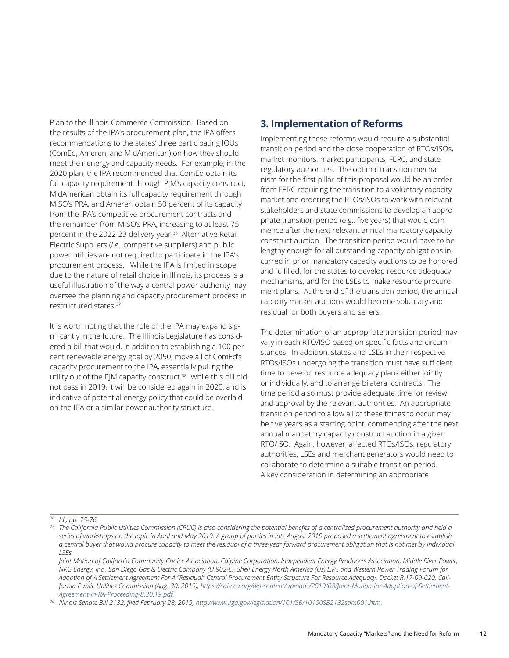<span id="page-14-0"></span>Plan to the Illinois Commerce Commission. Based on the results of the IPA's procurement plan, the IPA offers recommendations to the states' three participating IOUs (ComEd, Ameren, and MidAmerican) on how they should meet their energy and capacity needs. For example, in the 2020 plan, the IPA recommended that ComEd obtain its full capacity requirement through PJM's capacity construct, MidAmerican obtain its full capacity requirement through MISO's PRA, and Ameren obtain 50 percent of its capacity from the IPA's competitive procurement contracts and the remainder from MISO's PRA, increasing to at least 75 percent in the 2022-23 delivery year.36 Alternative Retail Electric Suppliers (*i.e.,* competitive suppliers) and public power utilities are not required to participate in the IPA's procurement process. While the IPA is limited in scope due to the nature of retail choice in Illinois, its process is a useful illustration of the way a central power authority may oversee the planning and capacity procurement process in restructured states.37

It is worth noting that the role of the IPA may expand significantly in the future. The Illinois Legislature has considered a bill that would, in addition to establishing a 100 percent renewable energy goal by 2050, move all of ComEd's capacity procurement to the IPA, essentially pulling the utility out of the PJM capacity construct.<sup>38</sup> While this bill did not pass in 2019, it will be considered again in 2020, and is indicative of potential energy policy that could be overlaid on the IPA or a similar power authority structure.

#### **3. Implementation of Reforms**

Implementing these reforms would require a substantial transition period and the close cooperation of RTOs/ISOs, market monitors, market participants, FERC, and state regulatory authorities. The optimal transition mechanism for the first pillar of this proposal would be an order from FERC requiring the transition to a voluntary capacity market and ordering the RTOs/ISOs to work with relevant stakeholders and state commissions to develop an appropriate transition period (e.g., five years) that would commence after the next relevant annual mandatory capacity construct auction. The transition period would have to be lengthy enough for all outstanding capacity obligations incurred in prior mandatory capacity auctions to be honored and fulfilled, for the states to develop resource adequacy mechanisms, and for the LSEs to make resource procurement plans. At the end of the transition period, the annual capacity market auctions would become voluntary and residual for both buyers and sellers.

The determination of an appropriate transition period may vary in each RTO/ISO based on specific facts and circumstances. In addition, states and LSEs in their respective RTOs/ISOs undergoing the transition must have sufficient time to develop resource adequacy plans either jointly or individually, and to arrange bilateral contracts. The time period also must provide adequate time for review and approval by the relevant authorities. An appropriate transition period to allow all of these things to occur may be five years as a starting point, commencing after the next annual mandatory capacity construct auction in a given RTO/ISO. Again, however, affected RTOs/ISOs, regulatory authorities, LSEs and merchant generators would need to collaborate to determine a suitable transition period. A key consideration in determining an appropriate

*<sup>36</sup> Id., pp. 75-76.*

*[Agreement-in-RA-Proceeding-8.30.19.pdf.](https://cal-cca.org/wp-content/uploads/2019/08/Joint-Motion-for-Adoption-of-Settlement-Agreement-in-RA-Proceeding-8.30.19.pdf) 38 Illinois Senate Bill 2132, filed February 28, 2019, <http://www.ilga.gov/legislation/101/SB/10100SB2132sam001.htm>.*

*<sup>37</sup> The California Public Utilities Commission (CPUC) is also considering the potential benefits of a centralized procurement authority and held a series of workshops on the topic in April and May 2019. A group of parties in late August 2019 proposed a settlement agreement to establish a central buyer that would procure capacity to meet the residual of a three-year forward procurement obligation that is not met by individual LSEs.* 

*Joint Motion of California Community Choice Association, Calpine Corporation, Independent Energy Producers Association, Middle River Power, NRG Energy, Inc., San Diego Gas & Electric Company (U 902-E), Shell Energy North America (Us) L.P., and Western Power Trading Forum for Adoption of A Settlement Agreement For A "Residual" Central Procurement Entity Structure For Resource Adequacy, Docket R.17-09-020, California Public Utilities Commission (Aug. 30, 2019), [https://cal-cca.org/wp-content/uploads/2019/08/Joint-Motion-for-Adoption-of-Settlement-](https://cal-cca.org/wp-content/uploads/2019/08/Joint-Motion-for-Adoption-of-Settlement-Agreement-in-RA-Proceeding-8.30.19.pdf)*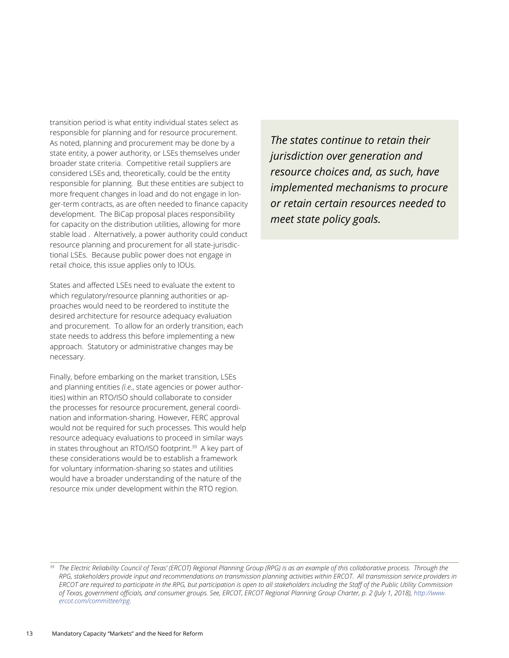transition period is what entity individual states select as responsible for planning and for resource procurement. As noted, planning and procurement may be done by a state entity, a power authority, or LSEs themselves under broader state criteria. Competitive retail suppliers are considered LSEs and, theoretically, could be the entity responsible for planning. But these entities are subject to more frequent changes in load and do not engage in longer-term contracts, as are often needed to finance capacity development. The BiCap proposal places responsibility for capacity on the distribution utilities, allowing for more stable load . Alternatively, a power authority could conduct resource planning and procurement for all state-jurisdictional LSEs. Because public power does not engage in retail choice, this issue applies only to IOUs.

States and affected LSEs need to evaluate the extent to which regulatory/resource planning authorities or approaches would need to be reordered to institute the desired architecture for resource adequacy evaluation and procurement. To allow for an orderly transition, each state needs to address this before implementing a new approach. Statutory or administrative changes may be necessary.

Finally, before embarking on the market transition, LSEs and planning entities *(i.e.*, state agencies or power authorities) within an RTO/ISO should collaborate to consider the processes for resource procurement, general coordination and information-sharing. However, FERC approval would not be required for such processes. This would help resource adequacy evaluations to proceed in similar ways in states throughout an RTO/ISO footprint.<sup>39</sup> A key part of these considerations would be to establish a framework for voluntary information-sharing so states and utilities would have a broader understanding of the nature of the resource mix under development within the RTO region.

*The states continue to retain their jurisdiction over generation and resource choices and, as such, have implemented mechanisms to procure or retain certain resources needed to meet state policy goals.*

*<sup>39</sup> The Electric Reliability Council of Texas' (ERCOT) Regional Planning Group (RPG) is as an example of this collaborative process. Through the RPG, stakeholders provide input and recommendations on transmission planning activities within ERCOT. All transmission service providers in ERCOT are required to participate in the RPG, but participation is open to all stakeholders including the Staff of the Public Utility Commission of Texas, government officials, and consumer groups. See, ERCOT, ERCOT Regional Planning Group Charter, p. 2 (July 1, 2018), [http://www.](http://www.ercot.com/committee/rpg) [ercot.com/committee/rpg](http://www.ercot.com/committee/rpg).*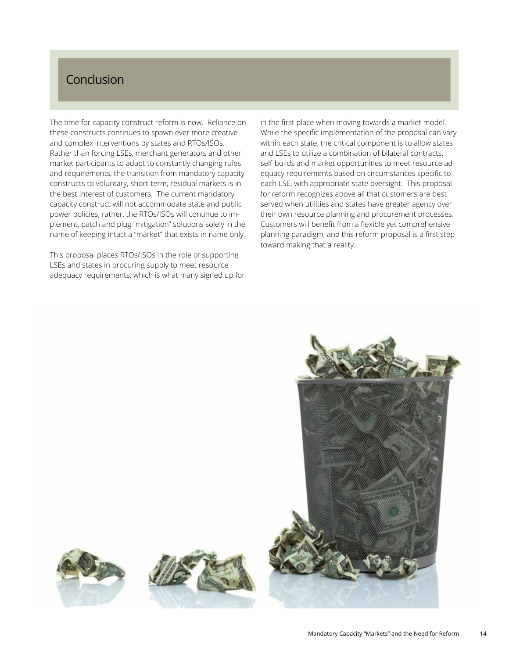## <span id="page-16-0"></span>Conclusion

The time for capacity construct reform is now. Reliance on these constructs continues to spawn ever more creative and complex interventions by states and RTOs/ISOs. Rather than forcing LSEs, merchant generators and other market participants to adapt to constantly changing rules and requirements, the transition from mandatory capacity constructs to voluntary, short-term, residual markets is in the best interest of customers. The current mandatory capacity construct will not accommodate state and public power policies; rather, the RTOs/ISOs will continue to implement, patch and plug "mitigation" solutions solely in the name of keeping intact a "market" that exists in name only.

This proposal places RTOs/ISOs in the role of supporting LSEs and states in procuring supply to meet resource adequacy requirements, which is what many signed up for in the first place when moving towards a market model. While the specific implementation of the proposal can vary within each state, the critical component is to allow states and LSEs to utilize a combination of bilateral contracts, self-builds and market opportunities to meet resource adequacy requirements based on circumstances specific to each LSE, with appropriate state oversight. This proposal for reform recognizes above all that customers are best served when utilities and states have greater agency over their own resource planning and procurement processes. Customers will benefit from a flexible yet comprehensive planning paradigm, and this reform proposal is a first step toward making that a reality.

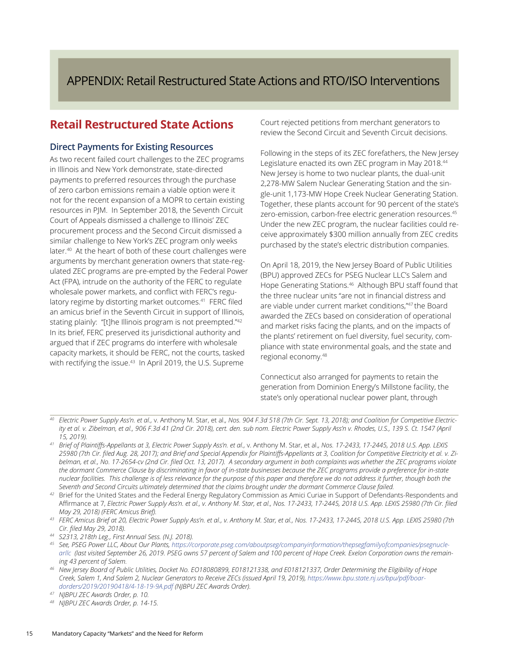## <span id="page-17-0"></span>APPENDIX: Retail Restructured State Actions and RTO/ISO Interventions

## **Retail Restructured State Actions**

#### **Direct Payments for Existing Resources**

As two recent failed court challenges to the ZEC programs in Illinois and New York demonstrate, state-directed payments to preferred resources through the purchase of zero carbon emissions remain a viable option were it not for the recent expansion of a MOPR to certain existing resources in PJM. In September 2018, the Seventh Circuit Court of Appeals dismissed a challenge to Illinois' ZEC procurement process and the Second Circuit dismissed a similar challenge to New York's ZEC program only weeks later.<sup>40</sup> At the heart of both of these court challenges were arguments by merchant generation owners that state-regulated ZEC programs are pre-empted by the Federal Power Act (FPA), intrude on the authority of the FERC to regulate wholesale power markets, and conflict with FERC's regulatory regime by distorting market outcomes.<sup>41</sup> FERC filed an amicus brief in the Seventh Circuit in support of Illinois, stating plainly: "[t]he Illinois program is not preempted."42 In its brief, FERC preserved its jurisdictional authority and argued that if ZEC programs do interfere with wholesale capacity markets, it should be FERC, not the courts, tasked with rectifying the issue.43 In April 2019, the U.S. Supreme

Court rejected petitions from merchant generators to review the Second Circuit and Seventh Circuit decisions.

Following in the steps of its ZEC forefathers, the New Jersey Legislature enacted its own ZEC program in May 2018.44 New Jersey is home to two nuclear plants, the dual-unit 2,278-MW Salem Nuclear Generating Station and the single-unit 1,173-MW Hope Creek Nuclear Generating Station. Together, these plants account for 90 percent of the state's zero-emission, carbon-free electric generation resources.<sup>45</sup> Under the new ZEC program, the nuclear facilities could receive approximately \$300 million annually from ZEC credits purchased by the state's electric distribution companies.

On April 18, 2019, the New Jersey Board of Public Utilities (BPU) approved ZECs for PSEG Nuclear LLC's Salem and Hope Generating Stations.<sup>46</sup> Although BPU staff found that the three nuclear units "are not in financial distress and are viable under current market conditions,"47 the Board awarded the ZECs based on consideration of operational and market risks facing the plants, and on the impacts of the plants' retirement on fuel diversity, fuel security, compliance with state environmental goals, and the state and regional economy.48

Connecticut also arranged for payments to retain the generation from Dominion Energy's Millstone facility, the state's only operational nuclear power plant, through

*<sup>40</sup> Electric Power Supply Ass'n. et al.,* v. Anthony M. Star, et al.*, Nos. 904 F.3d 518 (7th Cir. Sept. 13, 2018); and Coalition for Competitive Electricity et al. v. Zibelman, et al., 906 F.3d 41 (2nd Cir. 2018), cert. den. sub nom. Electric Power Supply Ass'n v. Rhodes, U.S., 139 S. Ct. 1547 (April 15, 2019).*

*<sup>41</sup> Brief of Plaintiffs-Appellants at 3, Electric Power Supply Ass'n. et al.,* v. Anthony M. Star, et al.*, Nos. 17-2433, 17-2445, 2018 U.S. App. LEXIS 25980 (7th Cir. filed Aug. 28, 2017); and Brief and Special Appendix for Plaintiffs-Appellants at 3, Coalition for Competitive Electricity et al. v. Zibelman, et al., No. 17-2654-cv (2nd Cir. filed Oct. 13, 2017). A secondary argument in both complaints was whether the ZEC programs violate the dormant Commerce Clause by discriminating in favor of in-state businesses because the ZEC programs provide a preference for in-state nuclear facilities. This challenge is of less relevance for the purpose of this paper and therefore we do not address it further, though both the Seventh and Second Circuits ultimately determined that the claims brought under the dormant Commerce Clause failed.*

*<sup>42</sup>* Brief for the United States and the Federal Energy Regulatory Commission as Amici Curiae in Support of Defendants-Respondents and Affirmance at 7, *Electric Power Supply Ass'n. et al., v. Anthony M. Star, et al., Nos. 17-2433, 17-2445, 2018 U.S. App. LEXIS 25980 (7th Cir. filed* 

*May 29, 2018) (FERC Amicus Brief). 43 FERC Amicus Brief at 20, Electric Power Supply Ass'n. et al., v. Anthony M. Star, et al., Nos. 17-2433, 17-2445, 2018 U.S. App. LEXIS 25980 (7th Cir. filed May 29, 2018).* 

*<sup>44</sup> S2313, 218th Leg., First Annual Sess. (N.J. 2018). 45 See, PSEG Power LLC, About Our Plants, [https://corporate.pseg.com/aboutpseg/companyinformation/thepsegfamilyofcompanies/psegnucle](https://corporate.pseg.com/aboutpseg/companyinformation/thepsegfamilyofcompanies/psegnuclearllc)[arllc](https://corporate.pseg.com/aboutpseg/companyinformation/thepsegfamilyofcompanies/psegnuclearllc) (last visited September 26, 2019. PSEG owns 57 percent of Salem and 100 percent of Hope Creek. Exelon Corporation owns the remaining 43 percent of Salem.*

*<sup>46</sup> New Jersey Board of Public Utilities, Docket No. EO18080899, E018121338, and E018121337, Order Determining the Eligibility of Hope Creek, Salem 1, And Salem 2, Nuclear Generators to Receive ZECs (issued April 19, 2019), [https://www.bpu.state.nj.us/bpu/pdf/boar](https://www.bpu.state.nj.us/bpu/pdf/boardorders/2019/20190418/4-18-19-9A.pdf)[dorders/2019/20190418/4-18-19-9A.pdf](https://www.bpu.state.nj.us/bpu/pdf/boardorders/2019/20190418/4-18-19-9A.pdf) (NJBPU ZEC Awards Order).*

*<sup>47</sup> NJBPU ZEC Awards Order, p. 10.*

*<sup>48</sup> NJBPU ZEC Awards Order, p. 14-15.*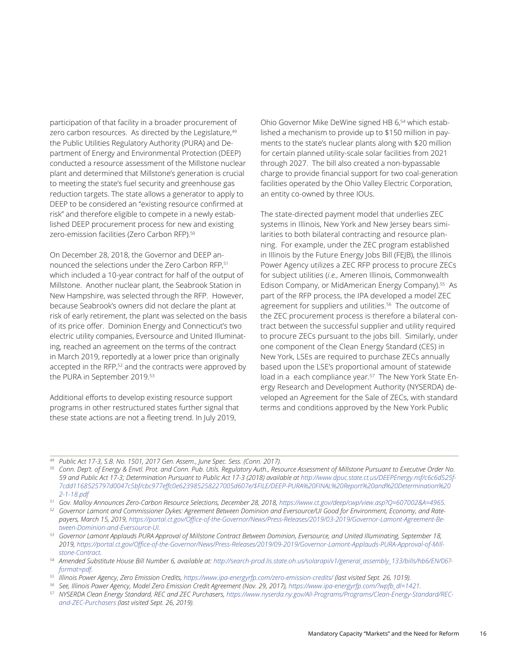participation of that facility in a broader procurement of zero carbon resources. As directed by the Legislature, 49 the Public Utilities Regulatory Authority (PURA) and Department of Energy and Environmental Protection (DEEP) conducted a resource assessment of the Millstone nuclear plant and determined that Millstone's generation is crucial to meeting the state's fuel security and greenhouse gas reduction targets. The state allows a generator to apply to DEEP to be considered an "existing resource confirmed at risk" and therefore eligible to compete in a newly established DEEP procurement process for new and existing zero-emission facilities (Zero Carbon RFP).<sup>50</sup>

On December 28, 2018, the Governor and DEEP announced the selections under the Zero Carbon RFP,51 which included a 10-year contract for half of the output of Millstone. Another nuclear plant, the Seabrook Station in New Hampshire, was selected through the RFP. However, because Seabrook's owners did not declare the plant at risk of early retirement, the plant was selected on the basis of its price offer. Dominion Energy and Connecticut's two electric utility companies, Eversource and United Illuminating, reached an agreement on the terms of the contract in March 2019, reportedly at a lower price than originally accepted in the RFP,<sup>52</sup> and the contracts were approved by the PURA in September 2019.<sup>53</sup>

Additional efforts to develop existing resource support programs in other restructured states further signal that these state actions are not a fleeting trend. In July 2019,

Ohio Governor Mike DeWine signed HB 6,<sup>54</sup> which established a mechanism to provide up to \$150 million in payments to the state's nuclear plants along with \$20 million for certain planned utility-scale solar facilities from 2021 through 2027. The bill also created a non-bypassable charge to provide financial support for two coal-generation facilities operated by the Ohio Valley Electric Corporation, an entity co-owned by three IOUs.

The state-directed payment model that underlies ZEC systems in Illinois, New York and New Jersey bears similarities to both bilateral contracting and resource planning. For example, under the ZEC program established in Illinois by the Future Energy Jobs Bill (FEJB), the Illinois Power Agency utilizes a ZEC RFP process to procure ZECs for subject utilities (*i.e.,* Ameren Illinois, Commonwealth Edison Company, or MidAmerican Energy Company).<sup>55</sup> As part of the RFP process, the IPA developed a model ZEC agreement for suppliers and utilities.<sup>56</sup> The outcome of the ZEC procurement process is therefore a bilateral contract between the successful supplier and utility required to procure ZECs pursuant to the jobs bill. Similarly, under one component of the Clean Energy Standard (CES) in New York, LSEs are required to purchase ZECs annually based upon the LSE's proportional amount of statewide load in a each compliance year.<sup>57</sup> The New York State Energy Research and Development Authority (NYSERDA) developed an Agreement for the Sale of ZECs, with standard terms and conditions approved by the New York Public

<sup>&</sup>lt;sup>49</sup> Public Act 17-3, S.B. No. 1501, 2017 Gen. Assem., June Spec. Sess. (Conn. 2017).<br><sup>50</sup> Conn. Dep't. of Energy & Envtl. Prot. and Conn. Pub. Utils. Regulatory Auth., Resource Assessment of Millstone Pursuant to Executiv 59 and Public Act 17-3; Determination Pursuant to Public Act 17-3 (2018) available at [http://www.dpuc.state.ct.us/DEEPEnergy.nsf/c6c6d525f-](http://www.dpuc.state.ct.us/DEEPEnergy.nsf/c6c6d525f7cdd1168525797d0047c5bf/cbc977effc0e623985258227005d607e/$FILE/DEEP-PURA%20FINAL%20Report%20and%20Determination%202-1-18.pdf)*[7cdd1168525797d0047c5bf/cbc977effc0e623985258227005d607e/\\$FILE/DEEP-PURA%20FINAL%20Report%20and%20Determination%20](http://www.dpuc.state.ct.us/DEEPEnergy.nsf/c6c6d525f7cdd1168525797d0047c5bf/cbc977effc0e623985258227005d607e/$FILE/DEEP-PURA%20FINAL%20Report%20and%20Determination%202-1-18.pdf)*

[<sup>2-1-18.</sup>pdf](http://www.dpuc.state.ct.us/DEEPEnergy.nsf/c6c6d525f7cdd1168525797d0047c5bf/cbc977effc0e623985258227005d607e/$FILE/DEEP-PURA%20FINAL%20Report%20and%20Determination%202-1-18.pdf)<br><sup>51</sup> Gov. Malloy Announces Zero-Carbon Resource Selections, December 28, 2018, https://www.ct.gov/deep/cwp/view.asp?Q=607002&A=4965.

<sup>&</sup>lt;sup>52</sup> Governor Lamont and Commissioner Dykes: Agreement Between Dominion and Eversource/UI Good for Environment, Economy, and Rate*payers, March 15, 2019, [https://portal.ct.gov/Office-of-the-Governor/News/Press-Releases/2019/03-2019/Governor-Lamont-Agreement-Be](https://portal.ct.gov/Office-of-the-Governor/News/Press-Releases/2019/03-2019/Governor-Lamont-Agreement-Between-Dominion-and-Eversource-UI)-*

*[tween-Dominion-and-Eversource-UI.](https://portal.ct.gov/Office-of-the-Governor/News/Press-Releases/2019/03-2019/Governor-Lamont-Agreement-Between-Dominion-and-Eversource-UI) 53 Governor Lamont Applauds PURA Approval of Millstone Contract Between Dominion, Eversource, and United Illuminating, September 18, 2019, [https://portal.ct.gov/Office-of-the-Governor/News/Press-Releases/2019/09-2019/Governor-Lamont-Applauds-PURA-Approval-of-Mill](https://portal.ct.gov/Office-of-the-Governor/News/Press-Releases/2019/09-2019/Governor-Lamont-Applauds-PURA-Approval-of-Millstone-Contract)[stone-Contract.](https://portal.ct.gov/Office-of-the-Governor/News/Press-Releases/2019/09-2019/Governor-Lamont-Applauds-PURA-Approval-of-Millstone-Contract)*

*<sup>54</sup> Amended Substitute House Bill Number 6, available at: [http://search-prod.lis.state.oh.us/solarapi/v1/general\\_assembly\\_133/bills/hb6/EN/06?-](http://search-prod.lis.state.oh.us/solarapi/v1/general_assembly_133/bills/hb6/EN/06?format=pdf)*

[format=pdf.](http://search-prod.lis.state.oh.us/solarapi/v1/general_assembly_133/bills/hb6/EN/06?format=pdf)<br><sup>55</sup>Illinois Power Agency, Zero Emission Credits, https://www.ipa-energyrfp.com/zero-emission-credits/ (last visited Sept. 26, 1019).<br><sup>56</sup> See, Illinois Power Agency, Model Zero Emission Credit Agreement (Nov.

<sup>57</sup> NYSERDA Clean Energy Standard, REC and ZEC Purchasers, [https://www.nyserda.ny.gov/All-Programs/Programs/Clean-Energy-Standard/REC](https://www.nyserda.ny.gov/All-Programs/Programs/Clean-Energy-Standard/REC-and-ZEC-Purchasers)*[and-ZEC-Purchasers](https://www.nyserda.ny.gov/All-Programs/Programs/Clean-Energy-Standard/REC-and-ZEC-Purchasers) (last visited Sept. 26, 2019).*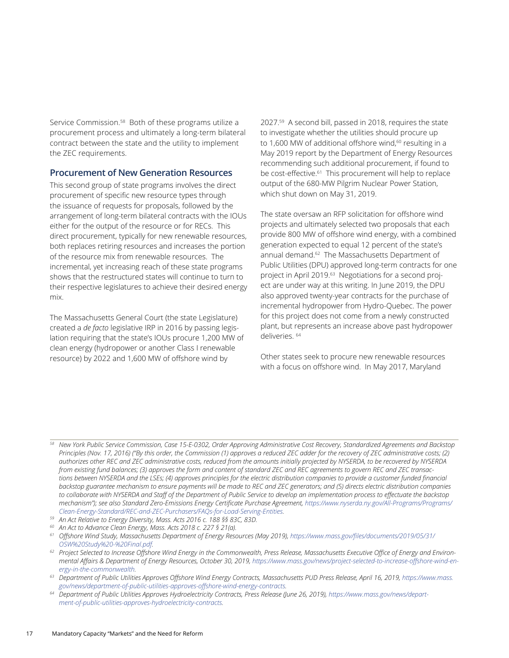Service Commission.<sup>58</sup> Both of these programs utilize a procurement process and ultimately a long-term bilateral contract between the state and the utility to implement the ZEC requirements.

#### **Procurement of New Generation Resources**

This second group of state programs involves the direct procurement of specific new resource types through the issuance of requests for proposals, followed by the arrangement of long-term bilateral contracts with the IOUs either for the output of the resource or for RECs. This direct procurement, typically for new renewable resources, both replaces retiring resources and increases the portion of the resource mix from renewable resources. The incremental, yet increasing reach of these state programs shows that the restructured states will continue to turn to their respective legislatures to achieve their desired energy mix.

The Massachusetts General Court (the state Legislature) created a *de facto* legislative IRP in 2016 by passing legislation requiring that the state's IOUs procure 1,200 MW of clean energy (hydropower or another Class I renewable resource) by 2022 and 1,600 MW of offshore wind by

2027.59 A second bill, passed in 2018, requires the state to investigate whether the utilities should procure up to 1,600 MW of additional offshore wind, $60$  resulting in a May 2019 report by the Department of Energy Resources recommending such additional procurement, if found to be cost-effective.<sup>61</sup> This procurement will help to replace output of the 680-MW Pilgrim Nuclear Power Station, which shut down on May 31, 2019.

The state oversaw an RFP solicitation for offshore wind projects and ultimately selected two proposals that each provide 800 MW of offshore wind energy, with a combined generation expected to equal 12 percent of the state's annual demand.<sup>62</sup> The Massachusetts Department of Public Utilities (DPU) approved long-term contracts for one project in April 2019.63 Negotiations for a second project are under way at this writing. In June 2019, the DPU also approved twenty-year contracts for the purchase of incremental hydropower from Hydro-Quebec. The power for this project does not come from a newly constructed plant, but represents an increase above past hydropower deliveries. 64

Other states seek to procure new renewable resources with a focus on offshore wind. In May 2017, Maryland

*<sup>58</sup> New York Public Service Commission, Case 15-E-0302, Order Approving Administrative Cost Recovery, Standardized Agreements and Backstop Principles (Nov. 17, 2016) ("By this order, the Commission (1) approves a reduced ZEC adder for the recovery of ZEC administrative costs; (2) authorizes other REC and ZEC administrative costs, reduced from the amounts initially projected by NYSERDA, to be recovered by NYSERDA from existing fund balances; (3) approves the form and content of standard ZEC and REC agreements to govern REC and ZEC transactions between NYSERDA and the LSEs; (4) approves principles for the electric distribution companies to provide a customer funded financial backstop guarantee mechanism to ensure payments will be made to REC and ZEC generators; and (5) directs electric distribution companies to collaborate with NYSERDA and Staff of the Department of Public Service to develop an implementation process to effectuate the backstop*  mechanism"); see also Standard Zero-Emissions Energy Certificate Purchase Agreement, [https://www.nyserda.ny.gov/All-Programs/Programs/](https://www.nyserda.ny.gov/All-Programs/Programs/Clean-Energy-Standard/REC-and-ZEC-Purchasers/FAQs-for-Load-Serving-Entities)<br>Clean-Energy-Standard/REC-and-ZEC-Purchasers/FAOs-for-Load-Serving-Entities.

<sup>&</sup>lt;sup>59</sup> An Act Relative to Energy Diversity, Mass. Acts 2016 c. 188 §§ 83C, 83D.<br><sup>60</sup> An Act to Advance Clean Energy, Mass. Acts 2018 c. 227 § 21(a).

*<sup>61</sup> Offshore Wind Study, Massachusetts Department of Energy Resources (May 2019), [https://www.mass.gov/files/documents/2019/05/31/](https://www.mass.gov/files/documents/2019/05/31/OSW%20Study%20-%20Final.pdf) [OSW%20Study%20-%20Final.pdf.](https://www.mass.gov/files/documents/2019/05/31/OSW%20Study%20-%20Final.pdf)*

*<sup>62</sup> Project Selected to Increase Offshore Wind Energy in the Commonwealth, Press Release, Massachusetts Executive Office of Energy and Environ*mental Affairs & Department of Energy Resources, October 30, 2019, [https://www.mass.gov/news/project-selected-to-increase-offshore-wind-en](https://www.mass.gov/news/project-selected-to-increase-offshore-wind-energy-in-the-commonwealth)*[ergy-in-the-commonwealth](https://www.mass.gov/news/project-selected-to-increase-offshore-wind-energy-in-the-commonwealth).*

<sup>&</sup>lt;sup>63</sup> *Department of Public Utilities Approves Offshore Wind Energy Contracts, Massachusetts PUD Press Release, April 16, 2019, [https://www.mass.](https://www.mass.gov/news/department-of-public-utilities-approves-offshore-wind-energy-contracts)<br>gov/news/department-of-public-utilities-approves-offshore-wind-energy-contrac* 

<sup>&</sup>lt;sup>64</sup> Department of Public Utilities Approves Hydroelectricity Contracts, Press Release (June 26, 2019), [https://www.mass.gov/news/depart](https://www.mass.gov/news/department-of-public-utilities-approves-hydroelectricity-contracts)*[ment-of-public-utilities-approves-hydroelectricity-contracts](https://www.mass.gov/news/department-of-public-utilities-approves-hydroelectricity-contracts).*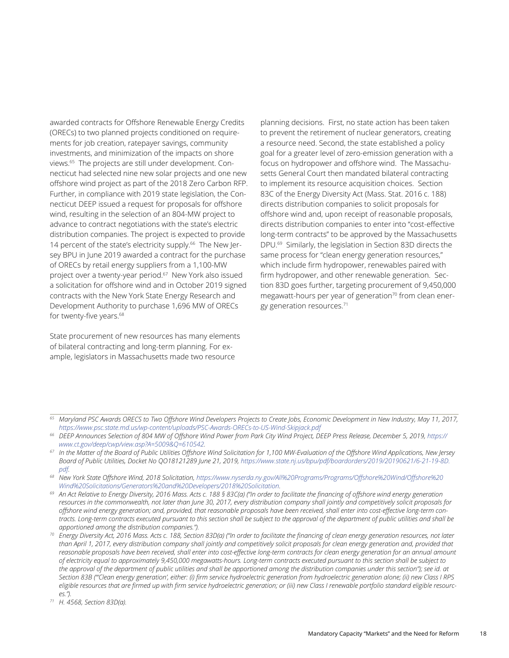awarded contracts for Offshore Renewable Energy Credits (ORECs) to two planned projects conditioned on requirements for job creation, ratepayer savings, community investments, and minimization of the impacts on shore views.65 The projects are still under development. Connecticut had selected nine new solar projects and one new offshore wind project as part of the 2018 Zero Carbon RFP. Further, in compliance with 2019 state legislation, the Connecticut DEEP issued a request for proposals for offshore wind, resulting in the selection of an 804-MW project to advance to contract negotiations with the state's electric distribution companies. The project is expected to provide 14 percent of the state's electricity supply.<sup>66</sup> The New Jersey BPU in June 2019 awarded a contract for the purchase of ORECs by retail energy suppliers from a 1,100-MW project over a twenty-year period.67 New York also issued a solicitation for offshore wind and in October 2019 signed contracts with the New York State Energy Research and Development Authority to purchase 1,696 MW of ORECs for twenty-five years.<sup>68</sup>

State procurement of new resources has many elements of bilateral contracting and long-term planning. For example, legislators in Massachusetts made two resource

planning decisions. First, no state action has been taken to prevent the retirement of nuclear generators, creating a resource need. Second, the state established a policy goal for a greater level of zero-emission generation with a focus on hydropower and offshore wind. The Massachusetts General Court then mandated bilateral contracting to implement its resource acquisition choices. Section 83C of the Energy Diversity Act (Mass. Stat. 2016 c. 188) directs distribution companies to solicit proposals for offshore wind and, upon receipt of reasonable proposals, directs distribution companies to enter into "cost-effective long-term contracts" to be approved by the Massachusetts DPU.69 Similarly, the legislation in Section 83D directs the same process for "clean energy generation resources," which include firm hydropower, renewables paired with firm hydropower, and other renewable generation. Section 83D goes further, targeting procurement of 9,450,000 megawatt-hours per year of generation<sup>70</sup> from clean energy generation resources.71

*<sup>65</sup> Maryland PSC Awards ORECS to Two Offshore Wind Developers Projects to Create Jobs, Economic Development in New Industry, May 11, 2017, <https://www.psc.state.md.us/wp-content/uploads/PSC-Awards-ORECs-to-US-Wind-Skipjack.pdf>*

<sup>&</sup>lt;sup>66</sup> DEEP Announces Selection of 804 MW of Offshore Wind Power from Park City Wind Project, DEEP Press Release, December 5, 2019, [https://](https://www.ct.gov/deep/cwp/view.asp?A=5009&Q=610542) *[www.ct.gov/deep/cwp/view.asp?A=5009&Q=610542.](https://www.ct.gov/deep/cwp/view.asp?A=5009&Q=610542)*

*<sup>67</sup> In the Matter of the Board of Public Utilities Offshore Wind Solicitation for 1,100 MW-Evaluation of the Offshore Wind Applications, New Jersey Board of Public Utilities, Docket No QO18121289 June 21, 2019, [https://www.state.nj.us/bpu/pdf/boardorders/2019/20190621/6-21-19-8D.](https://www.state.nj.us/bpu/pdf/boardorders/2019/20190621/6-21-19-8D.pdf) [pdf](https://www.state.nj.us/bpu/pdf/boardorders/2019/20190621/6-21-19-8D.pdf).*

*<sup>68</sup> New York State Offshore Wind, 2018 Solicitation, [https://www.nyserda.ny.gov/All%20Programs/Programs/Offshore%20Wind/Offshore%20](https://www.nyserda.ny.gov/All%20Programs/Programs/Offshore%20Wind/Offshore%20Wind%20Solicitations/Generators%20and%20Developers/2018%20Solicitation)*

[Wind%20Solicitations/Generators%20and%20Developers/2018%20Solicitation.](https://www.nyserda.ny.gov/All%20Programs/Programs/Offshore%20Wind/Offshore%20Wind%20Solicitations/Generators%20and%20Developers/2018%20Solicitation)<br>An Act Relative to Energy Diversity, 2016 Mass. Acts c. 188 § 83C(a) ("In order to facilitate the financing of offshore wind energy generation *resources in the commonwealth, not later than June 30, 2017, every distribution company shall jointly and competitively solicit proposals for offshore wind energy generation; and, provided, that reasonable proposals have been received, shall enter into cost-effective long-term contracts. Long-term contracts executed pursuant to this section shall be subject to the approval of the department of public utilities and shall be* 

*apportioned among the distribution companies."). 70 Energy Diversity Act, 2016 Mass. Acts c. 188, Section 83D(a) ("In order to facilitate the financing of clean energy generation resources, not later than April 1, 2017, every distribution company shall jointly and competitively solicit proposals for clean energy generation and, provided that*  reasonable proposals have been received, shall enter into cost-effective long-term contracts for clean energy generation for an annual amount *of electricity equal to approximately 9,450,000 megawatts-hours. Long-term contracts executed pursuant to this section shall be subject to the approval of the department of public utilities and shall be apportioned among the distribution companies under this section"); see id. at Section 83B ("'Clean energy generation', either: (i) firm service hydroelectric generation from hydroelectric generation alone; (ii) new Class I RPS eligible resources that are firmed up with firm service hydroelectric generation; or (iii) new Class I renewable portfolio standard eligible resources."). 71 H. 4568, Section 83D(a).*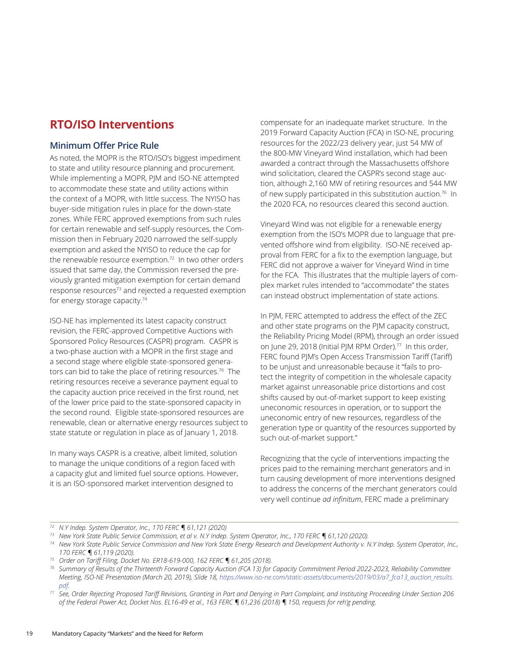## **RTO/ISO Interventions**

#### **Minimum Offer Price Rule**

As noted, the MOPR is the RTO/ISO's biggest impediment to state and utility resource planning and procurement. While implementing a MOPR, PJM and ISO-NE attempted to accommodate these state and utility actions within the context of a MOPR, with little success. The NYISO has buyer-side mitigation rules in place for the down-state zones. While FERC approved exemptions from such rules for certain renewable and self-supply resources, the Commission then in February 2020 narrowed the self-supply exemption and asked the NYISO to reduce the cap for the renewable resource exemption.<sup>72</sup> In two other orders issued that same day, the Commission reversed the previously granted mitigation exemption for certain demand response resources<sup>73</sup> and rejected a requested exemption for energy storage capacity.74

ISO-NE has implemented its latest capacity construct revision, the FERC-approved Competitive Auctions with Sponsored Policy Resources (CASPR) program. CASPR is a two-phase auction with a MOPR in the first stage and a second stage where eligible state-sponsored generators can bid to take the place of retiring resources.76 The retiring resources receive a severance payment equal to the capacity auction price received in the first round, net of the lower price paid to the state-sponsored capacity in the second round. Eligible state-sponsored resources are renewable, clean or alternative energy resources subject to state statute or regulation in place as of January 1, 2018.

In many ways CASPR is a creative, albeit limited, solution to manage the unique conditions of a region faced with a capacity glut and limited fuel source options. However, it is an ISO-sponsored market intervention designed to

compensate for an inadequate market structure. In the 2019 Forward Capacity Auction (FCA) in ISO-NE, procuring resources for the 2022/23 delivery year, just 54 MW of the 800-MW Vineyard Wind installation, which had been awarded a contract through the Massachusetts offshore wind solicitation, cleared the CASPR's second stage auction, although 2,160 MW of retiring resources and 544 MW of new supply participated in this substitution auction.76 In the 2020 FCA, no resources cleared this second auction.

Vineyard Wind was not eligible for a renewable energy exemption from the ISO's MOPR due to language that prevented offshore wind from eligibility. ISO-NE received approval from FERC for a fix to the exemption language, but FERC did not approve a waiver for Vineyard Wind in time for the FCA. This illustrates that the multiple layers of complex market rules intended to "accommodate" the states can instead obstruct implementation of state actions.

In PJM, FERC attempted to address the effect of the ZEC and other state programs on the PJM capacity construct, the Reliability Pricing Model (RPM), through an order issued on June 29, 2018 (Initial PJM RPM Order).<sup>77</sup> In this order, FERC found PJM's Open Access Transmission Tariff (Tariff) to be unjust and unreasonable because it "fails to protect the integrity of competition in the wholesale capacity market against unreasonable price distortions and cost shifts caused by out-of-market support to keep existing uneconomic resources in operation, or to support the uneconomic entry of new resources, regardless of the generation type or quantity of the resources supported by such out-of-market support."

Recognizing that the cycle of interventions impacting the prices paid to the remaining merchant generators and in turn causing development of more interventions designed to address the concerns of the merchant generators could very well continue *ad infinitum*, FERC made a preliminary

*<sup>72</sup> N.Y Indep. System Operator, Inc., 170 FERC ¶ 61,121 (2020)*

*<sup>73</sup> New York State Public Service Commission, et al v. N.Y Indep. System Operator, Inc., 170 FERC ¶ 61,120 (2020).*

*<sup>74</sup> New York State Public Service Commission and New York State Energy Research and Development Authority v. N.Y Indep. System Operator, Inc., 170 FERC ¶ 61,119 (2020).*

*<sup>75</sup> Order on Tariff Filing, Docket No. ER18-619-000, 162 FERC ¶ 61,205 (2018).*

*<sup>76</sup> Summary of Results of the Thirteenth Forward Capacity Auction (FCA 13) for Capacity Commitment Period 2022-2023, Reliability Committee Meeting, ISO-NE Presentation (March 20, 2019), Slide 18, [https://www.iso-ne.com/static-assets/documents/2019/03/a7\\_fca13\\_auction\\_results.](https://www.iso-ne.com/static-assets/documents/2019/03/a7_fca13_auction_results.pdf)*

*[pdf](https://www.iso-ne.com/static-assets/documents/2019/03/a7_fca13_auction_results.pdf). 77 See, Order Rejecting Proposed Tariff Revisions, Granting in Part and Denying in Part Complaint, and Instituting Proceeding Under Section 206 of the Federal Power Act, Docket Nos. EL16-49 et al., 163 FERC ¶ 61,236 (2018) ¶ 150, requests for reh'g pending.*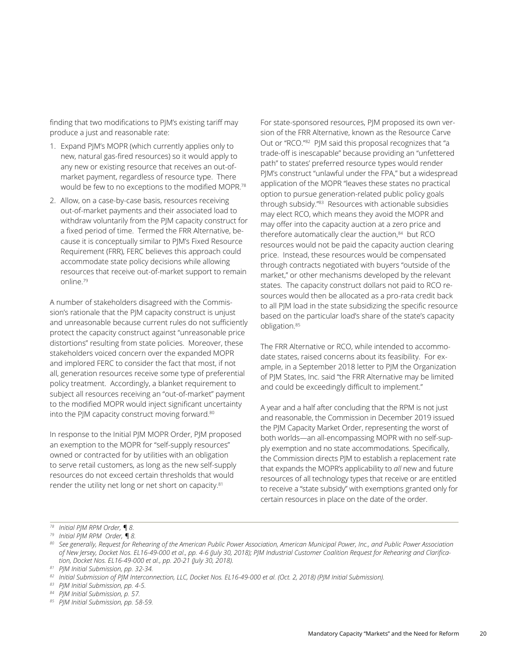finding that two modifications to PJM's existing tariff may produce a just and reasonable rate:

- 1. Expand PJM's MOPR (which currently applies only to new, natural gas-fired resources) so it would apply to any new or existing resource that receives an out-ofmarket payment, regardless of resource type. There would be few to no exceptions to the modified MOPR.78
- 2. Allow, on a case-by-case basis, resources receiving out-of-market payments and their associated load to withdraw voluntarily from the PJM capacity construct for a fixed period of time. Termed the FRR Alternative, because it is conceptually similar to PJM's Fixed Resource Requirement (FRR), FERC believes this approach could accommodate state policy decisions while allowing resources that receive out-of-market support to remain online.79

A number of stakeholders disagreed with the Commission's rationale that the PJM capacity construct is unjust and unreasonable because current rules do not sufficiently protect the capacity construct against "unreasonable price distortions" resulting from state policies. Moreover, these stakeholders voiced concern over the expanded MOPR and implored FERC to consider the fact that most, if not all, generation resources receive some type of preferential policy treatment. Accordingly, a blanket requirement to subject all resources receiving an "out-of-market" payment to the modified MOPR would inject significant uncertainty into the PJM capacity construct moving forward.<sup>80</sup>

In response to the Initial PJM MOPR Order, PJM proposed an exemption to the MOPR for "self-supply resources" owned or contracted for by utilities with an obligation to serve retail customers, as long as the new self-supply resources do not exceed certain thresholds that would render the utility net long or net short on capacity.<sup>81</sup>

For state-sponsored resources, PJM proposed its own version of the FRR Alternative, known as the Resource Carve Out or "RCO."82 PJM said this proposal recognizes that "a trade-off is inescapable" because providing an "unfettered path" to states' preferred resource types would render PJM's construct "unlawful under the FPA," but a widespread application of the MOPR "leaves these states no practical option to pursue generation-related public policy goals through subsidy."83 Resources with actionable subsidies may elect RCO, which means they avoid the MOPR and may offer into the capacity auction at a zero price and therefore automatically clear the auction,<sup>84</sup> but RCO resources would not be paid the capacity auction clearing price. Instead, these resources would be compensated through contracts negotiated with buyers "outside of the market," or other mechanisms developed by the relevant states. The capacity construct dollars not paid to RCO resources would then be allocated as a pro-rata credit back to all PJM load in the state subsidizing the specific resource based on the particular load's share of the state's capacity obligation.85

The FRR Alternative or RCO, while intended to accommodate states, raised concerns about its feasibility. For example, in a September 2018 letter to PJM the Organization of PJM States, Inc. said "the FRR Alternative may be limited and could be exceedingly difficult to implement."

A year and a half after concluding that the RPM is not just and reasonable, the Commission in December 2019 issued the PJM Capacity Market Order, representing the worst of both worlds—an all-encompassing MOPR with no self-supply exemption and no state accommodations. Specifically, the Commission directs PJM to establish a replacement rate that expands the MOPR's applicability to *all* new and future resources of all technology types that receive or are entitled to receive a "state subsidy" with exemptions granted only for certain resources in place on the date of the order.

*<sup>78</sup> Initial PJM RPM Order, ¶ 8. 79 Initial PJM RPM Order, ¶ 8.*

*<sup>80</sup> See generally, Request for Rehearing of the American Public Power Association, American Municipal Power, Inc., and Public Power Association of New Jersey, Docket Nos. EL16-49-000 et al., pp. 4-6 (July 30, 2018); PJM Industrial Customer Coalition Request for Rehearing and Clarification, Docket Nos. EL16-49-000 et al., pp. 20-21 (July 30, 2018). 81 PJM Initial Submission, pp. 32-34.*

*<sup>82</sup> Initial Submission of PJM Interconnection, LLC, Docket Nos. EL16-49-000 et al. (Oct. 2, 2018) (PJM Initial Submission). 83 PJM Initial Submission, pp. 4-5.*

*<sup>84</sup> PJM Initial Submission, p. 57.*

*<sup>85</sup> PJM Initial Submission, pp. 58-59.*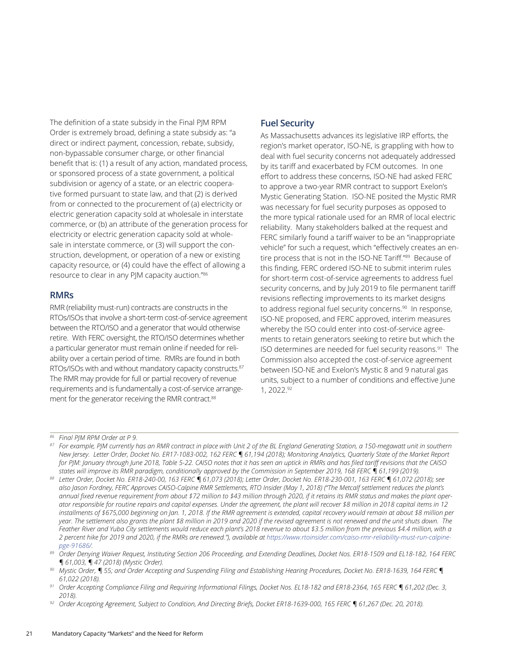The definition of a state subsidy in the Final PJM RPM Order is extremely broad, defining a state subsidy as: "a direct or indirect payment, concession, rebate, subsidy, non-bypassable consumer charge, or other financial benefit that is: (1) a result of any action, mandated process, or sponsored process of a state government, a political subdivision or agency of a state, or an electric cooperative formed pursuant to state law, and that (2) is derived from or connected to the procurement of (a) electricity or electric generation capacity sold at wholesale in interstate commerce, or (b) an attribute of the generation process for electricity or electric generation capacity sold at wholesale in interstate commerce, or (3) will support the construction, development, or operation of a new or existing capacity resource, or (4) could have the effect of allowing a resource to clear in any PJM capacity auction."86

#### **RMRs**

RMR (reliability must-run) contracts are constructs in the RTOs/ISOs that involve a short-term cost-of-service agreement between the RTO/ISO and a generator that would otherwise retire. With FERC oversight, the RTO/ISO determines whether a particular generator must remain online if needed for reliability over a certain period of time. RMRs are found in both RTOs/ISOs with and without mandatory capacity constructs.<sup>87</sup> The RMR may provide for full or partial recovery of revenue requirements and is fundamentally a cost-of-service arrangement for the generator receiving the RMR contract.<sup>88</sup>

#### **Fuel Security**

As Massachusetts advances its legislative IRP efforts, the region's market operator, ISO-NE, is grappling with how to deal with fuel security concerns not adequately addressed by its tariff and exacerbated by FCM outcomes. In one effort to address these concerns, ISO-NE had asked FERC to approve a two-year RMR contract to support Exelon's Mystic Generating Station. ISO-NE posited the Mystic RMR was necessary for fuel security purposes as opposed to the more typical rationale used for an RMR of local electric reliability. Many stakeholders balked at the request and FERC similarly found a tariff waiver to be an "inappropriate vehicle" for such a request, which "effectively creates an entire process that is not in the ISO-NE Tariff."89 Because of this finding, FERC ordered ISO-NE to submit interim rules for short-term cost-of-service agreements to address fuel security concerns, and by July 2019 to file permanent tariff revisions reflecting improvements to its market designs to address regional fuel security concerns.<sup>90</sup> In response, ISO-NE proposed, and FERC approved, interim measures whereby the ISO could enter into cost-of-service agreements to retain generators seeking to retire but which the ISO determines are needed for fuel security reasons.91 The Commission also accepted the cost-of-service agreement between ISO-NE and Exelon's Mystic 8 and 9 natural gas units, subject to a number of conditions and effective June 1, 2022.92

*<sup>86</sup> Final PJM RPM Order at P 9.*

*<sup>87</sup> For example, PJM currently has an RMR contract in place with Unit 2 of the BL England Generating Station, a 150-megawatt unit in southern New Jersey. Letter Order, Docket No. ER17-1083-002, 162 FERC ¶ 61,194 (2018); Monitoring Analytics, Quarterly State of the Market Report for PJM: January through June 2018, Table 5-22. CAISO notes that it has seen an uptick in RMRs and has filed tariff revisions that the CAISO states will improve its RMR paradigm, conditionally approved by the Commission in September 2019, 168 FERC ¶ 61,199 (2019).*

*<sup>88</sup> Letter Order, Docket No. ER18-240-00, 163 FERC ¶ 61,073 (2018); Letter Order, Docket No. ER18-230-001, 163 FERC ¶ 61,072 (2018); see*  also Jason Fordney, FERC Approves CAISO-Calpine RMR Settlements, RTO Insider (May 1, 2018) ("The Metcalf settlement reduces the plant's *annual fixed revenue requirement from about \$72 million to \$43 million through 2020, if it retains its RMR status and makes the plant operator responsible for routine repairs and capital expenses. Under the agreement, the plant will recover \$8 million in 2018 capital items in 12 installments of \$675,000 beginning on Jan. 1, 2018. If the RMR agreement is extended, capital recovery would remain at about \$8 million per year. The settlement also grants the plant \$8 million in 2019 and 2020 if the revised agreement is not renewed and the unit shuts down. The Feather River and Yuba City settlements would reduce each plant's 2018 revenue to about \$3.5 million from the previous \$4.4 million, with a*  2 percent hike for 2019 and 2020, if the RMRs are renewed."), available at [https://www.rtoinsider.com/caiso-rmr-reliability-must-run-calpine-](https://www.rtoinsider.com/caiso-rmr-reliability-must-run-calpine-pge-91686/)

*[pge-91686/](https://www.rtoinsider.com/caiso-rmr-reliability-must-run-calpine-pge-91686/). 89 Order Denying Waiver Request, Instituting Section 206 Proceeding, and Extending Deadlines, Docket Nos. ER18-1509 and EL18-182, 164 FERC ¶ 61,003, ¶ 47 (2018) (Mystic Order).*

*<sup>90</sup> Mystic Order, ¶ 55; and Order Accepting and Suspending Filing and Establishing Hearing Procedures, Docket No. ER18-1639, 164 FERC ¶ 61,022 (2018). 91 Order Accepting Compliance Filing and Requiring Informational Filings, Docket Nos. EL18-182 and ER18-2364, 165 FERC ¶ 61,202 (Dec. 3,* 

*<sup>2018).</sup>*

*<sup>92</sup> Order Accepting Agreement, Subject to Condition, And Directing Briefs, Docket ER18-1639-000, 165 FERC ¶ 61,267 (Dec. 20, 2018).*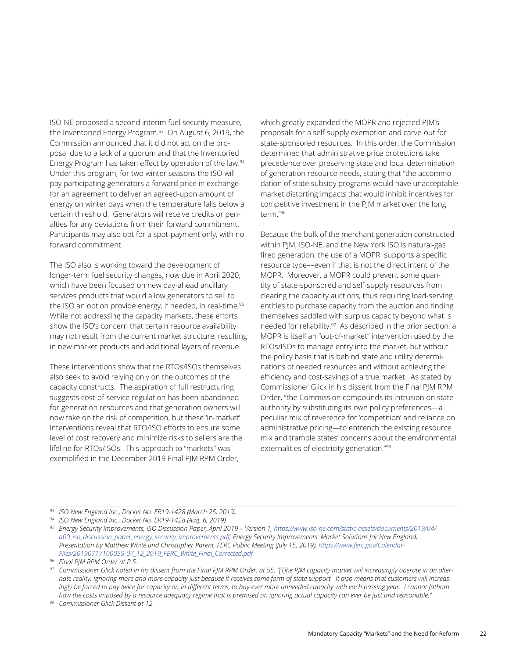ISO-NE proposed a second interim fuel security measure, the Inventoried Energy Program.<sup>93</sup> On August 6, 2019, the Commission announced that it did not act on the proposal due to a lack of a quorum and that the Inventoried Energy Program has taken effect by operation of the law.94 Under this program, for two winter seasons the ISO will pay participating generators a forward price in exchange for an agreement to deliver an agreed-upon amount of energy on winter days when the temperature falls below a certain threshold. Generators will receive credits or penalties for any deviations from their forward commitment. Participants may also opt for a spot-payment only, with no forward commitment.

The ISO also is working toward the development of longer-term fuel security changes, now due in April 2020, which have been focused on new day-ahead ancillary services products that would allow generators to sell to the ISO an option provide energy, if needed, in real-time.<sup>95</sup> While not addressing the capacity markets, these efforts show the ISO's concern that certain resource availability may not result from the current market structure, resulting in new market products and additional layers of revenue.

These interventions show that the RTOs/ISOs themselves also seek to avoid relying only on the outcomes of the capacity constructs. The aspiration of full restructuring suggests cost-of-service regulation has been abandoned for generation resources and that generation owners will now take on the risk of competition, but these 'in-market' interventions reveal that RTO/ISO efforts to ensure some level of cost recovery and minimize risks to sellers are the lifeline for RTOs/ISOs. This approach to "markets" was exemplified in the December 2019 Final PJM RPM Order,

which greatly expanded the MOPR and rejected PJM's proposals for a self-supply exemption and carve-out for state-sponsored resources. In this order, the Commission determined that administrative price protections take precedence over preserving state and local determination of generation resource needs, stating that "the accommodation of state subsidy programs would have unacceptable market distorting impacts that would inhibit incentives for competitive investment in the PJM market over the long term."96

Because the bulk of the merchant generation constructed within PJM, ISO-NE, and the New York ISO is natural-gas fired generation, the use of a MOPR supports a specific resource type––even if that is not the direct intent of the MOPR. Moreover, a MOPR could prevent some quantity of state-sponsored and self-supply resources from clearing the capacity auctions, thus requiring load-serving entities to purchase capacity from the auction and finding themselves saddled with surplus capacity beyond what is needed for reliability.<sup>97</sup> As described in the prior section, a MOPR is itself an "out-of-market" intervention used by the RTOs/ISOs to manage entry into the market, but without the policy basis that is behind state and utility determinations of needed resources and without achieving the efficiency and cost-savings of a true market. As stated by Commissioner Glick in his dissent from the Final PJM RPM Order, "the Commission compounds its intrusion on state authority by substituting its own policy preferences—a peculiar mix of reverence for 'competition' and reliance on administrative pricing—to entrench the existing resource mix and trample states' concerns about the environmental externalities of electricity generation."98

*<sup>93</sup> ISO New England Inc., Docket No. ER19-1428 (March 25, 2019).*

*<sup>94</sup> ISO New England Inc., Docket No. ER19-1428 (Aug. 6, 2019).*

<sup>&</sup>lt;sup>95</sup> Energy Security Improvements, ISO Discussion Paper, April 2019 – Version 1, [https://www.iso-ne.com/static-assets/documents/2019/04/](https://www.iso-ne.com/static-assets/documents/2019/04/a00_iso_discussion_paper_energy_security_improvements.pdf) *[a00\\_iso\\_discussion\\_paper\\_energy\\_security\\_improvements.pdf](https://www.iso-ne.com/static-assets/documents/2019/04/a00_iso_discussion_paper_energy_security_improvements.pdf); Energy Security Improvements: Market Solutions for New England,*  Presentation by Matthew White and Christopher Parent, FERC Public Meeting (July 15, 2019), [https://www.ferc.gov/Calendar-](https://www.ferc.gov/CalendarFiles/20190717100059-07_12_2019_FERC_White_Final_Corrected.pdf)*[Files/20190717100059-07\\_12\\_2019\\_FERC\\_White\\_Final\\_Corrected.pdf.](https://www.ferc.gov/CalendarFiles/20190717100059-07_12_2019_FERC_White_Final_Corrected.pdf)*

*<sup>96</sup> Final PJM RPM Order at P 5.*

*<sup>97</sup> Commissioner Glick noted in his dissent from the Final PJM RPM Order, at 55: "[T]he PJM capacity market will increasingly operate in an alternate reality, ignoring more and more capacity just because it receives some form of state support. It also means that customers will increas*ingly be forced to pay twice for capacity or, in different terms, to buy ever more unneeded capacity with each passing year. I cannot fathom *how the costs imposed by a resource adequacy regime that is premised on ignoring actual capacity can ever be just and reasonable."*

*<sup>98</sup> Commissioner Glick Dissent at 12.*